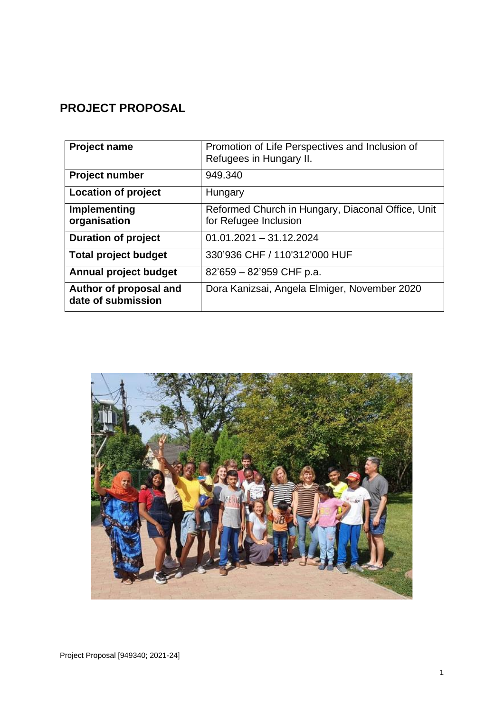# **PROJECT PROPOSAL**

| <b>Project name</b>                          | Promotion of Life Perspectives and Inclusion of<br>Refugees in Hungary II. |
|----------------------------------------------|----------------------------------------------------------------------------|
| <b>Project number</b>                        | 949.340                                                                    |
| Location of project                          | Hungary                                                                    |
| Implementing<br>organisation                 | Reformed Church in Hungary, Diaconal Office, Unit<br>for Refugee Inclusion |
| <b>Duration of project</b>                   | $01.01.2021 - 31.12.2024$                                                  |
| <b>Total project budget</b>                  | 330'936 CHF / 110'312'000 HUF                                              |
| Annual project budget                        | $82'659 - 82'959$ CHF p.a.                                                 |
| Author of proposal and<br>date of submission | Dora Kanizsai, Angela Elmiger, November 2020                               |

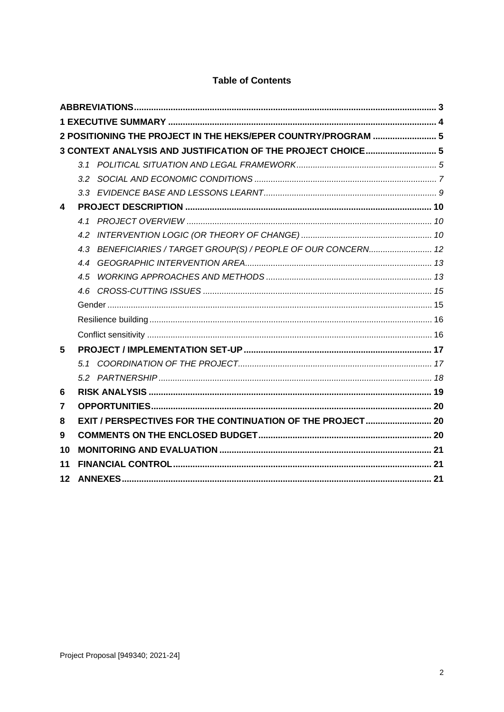|         |     | 2 POSITIONING THE PROJECT IN THE HEKS/EPER COUNTRY/PROGRAM  5  |  |  |
|---------|-----|----------------------------------------------------------------|--|--|
|         |     | 3 CONTEXT ANALYSIS AND JUSTIFICATION OF THE PROJECT CHOICE 5   |  |  |
|         | 3.1 |                                                                |  |  |
|         |     |                                                                |  |  |
|         |     |                                                                |  |  |
| 4       |     |                                                                |  |  |
|         |     |                                                                |  |  |
|         |     |                                                                |  |  |
|         |     | 4.3 BENEFICIARIES / TARGET GROUP(S) / PEOPLE OF OUR CONCERN 12 |  |  |
|         |     |                                                                |  |  |
|         | 4.5 |                                                                |  |  |
|         |     |                                                                |  |  |
|         |     |                                                                |  |  |
|         |     |                                                                |  |  |
|         |     |                                                                |  |  |
| 5       |     |                                                                |  |  |
|         |     |                                                                |  |  |
|         |     |                                                                |  |  |
| 6       |     |                                                                |  |  |
| 7       |     |                                                                |  |  |
| 8       |     |                                                                |  |  |
| 9       |     |                                                                |  |  |
| 10      |     |                                                                |  |  |
| 11      |     |                                                                |  |  |
| $12 \,$ |     |                                                                |  |  |

# **Table of Contents**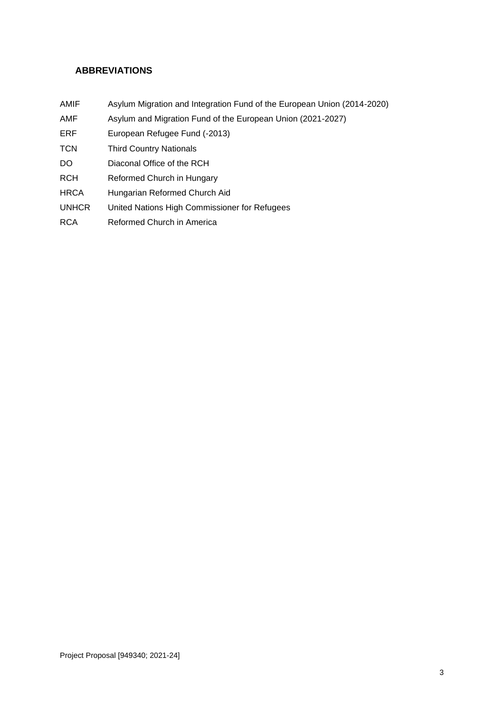# <span id="page-2-0"></span>**ABBREVIATIONS**

- AMIF Asylum Migration and Integration Fund of the European Union (2014-2020)
- AMF Asylum and Migration Fund of the European Union (2021-2027)
- ERF European Refugee Fund (-2013)
- TCN Third Country Nationals
- DO Diaconal Office of the RCH
- RCH Reformed Church in Hungary
- HRCA Hungarian Reformed Church Aid
- UNHCR United Nations High Commissioner for Refugees
- <span id="page-2-1"></span>RCA Reformed Church in America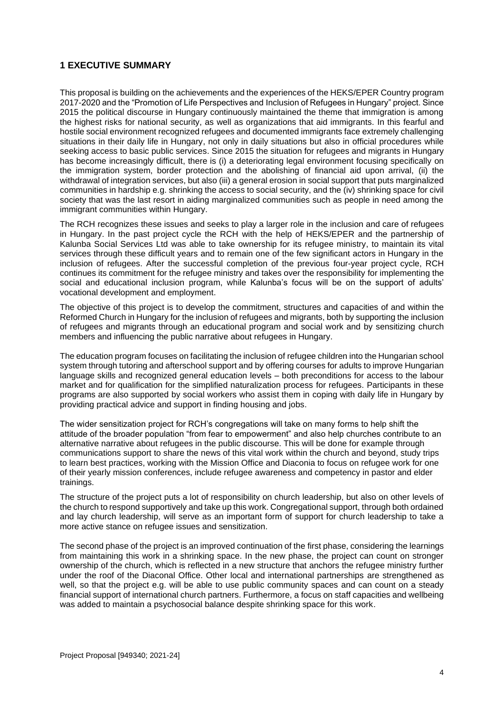# **1 EXECUTIVE SUMMARY**

This proposal is building on the achievements and the experiences of the HEKS/EPER Country program 2017-2020 and the "Promotion of Life Perspectives and Inclusion of Refugees in Hungary" project. Since 2015 the political discourse in Hungary continuously maintained the theme that immigration is among the highest risks for national security, as well as organizations that aid immigrants. In this fearful and hostile social environment recognized refugees and documented immigrants face extremely challenging situations in their daily life in Hungary, not only in daily situations but also in official procedures while seeking access to basic public services. Since 2015 the situation for refugees and migrants in Hungary has become increasingly difficult, there is (i) a deteriorating legal environment focusing specifically on the immigration system, border protection and the abolishing of financial aid upon arrival, (ii) the withdrawal of integration services, but also (iii) a general erosion in social support that puts marginalized communities in hardship e.g. shrinking the access to social security, and the (iv) shrinking space for civil society that was the last resort in aiding marginalized communities such as people in need among the immigrant communities within Hungary.

The RCH recognizes these issues and seeks to play a larger role in the inclusion and care of refugees in Hungary. In the past project cycle the RCH with the help of HEKS/EPER and the partnership of Kalunba Social Services Ltd was able to take ownership for its refugee ministry, to maintain its vital services through these difficult years and to remain one of the few significant actors in Hungary in the inclusion of refugees. After the successful completion of the previous four-year project cycle, RCH continues its commitment for the refugee ministry and takes over the responsibility for implementing the social and educational inclusion program, while Kalunba's focus will be on the support of adults' vocational development and employment.

The objective of this project is to develop the commitment, structures and capacities of and within the Reformed Church in Hungary for the inclusion of refugees and migrants, both by supporting the inclusion of refugees and migrants through an educational program and social work and by sensitizing church members and influencing the public narrative about refugees in Hungary.

The education program focuses on facilitating the inclusion of refugee children into the Hungarian school system through tutoring and afterschool support and by offering courses for adults to improve Hungarian language skills and recognized general education levels – both preconditions for access to the labour market and for qualification for the simplified naturalization process for refugees. Participants in these programs are also supported by social workers who assist them in coping with daily life in Hungary by providing practical advice and support in finding housing and jobs.

The wider sensitization project for RCH's congregations will take on many forms to help shift the attitude of the broader population "from fear to empowerment" and also help churches contribute to an alternative narrative about refugees in the public discourse. This will be done for example through communications support to share the news of this vital work within the church and beyond, study trips to learn best practices, working with the Mission Office and Diaconia to focus on refugee work for one of their yearly mission conferences, include refugee awareness and competency in pastor and elder trainings.

The structure of the project puts a lot of responsibility on church leadership, but also on other levels of the church to respond supportively and take up this work. Congregational support, through both ordained and lay church leadership, will serve as an important form of support for church leadership to take a more active stance on refugee issues and sensitization.

The second phase of the project is an improved continuation of the first phase, considering the learnings from maintaining this work in a shrinking space. In the new phase, the project can count on stronger ownership of the church, which is reflected in a new structure that anchors the refugee ministry further under the roof of the Diaconal Office. Other local and international partnerships are strengthened as well, so that the project e.g. will be able to use public community spaces and can count on a steady financial support of international church partners. Furthermore, a focus on staff capacities and wellbeing was added to maintain a psychosocial balance despite shrinking space for this work.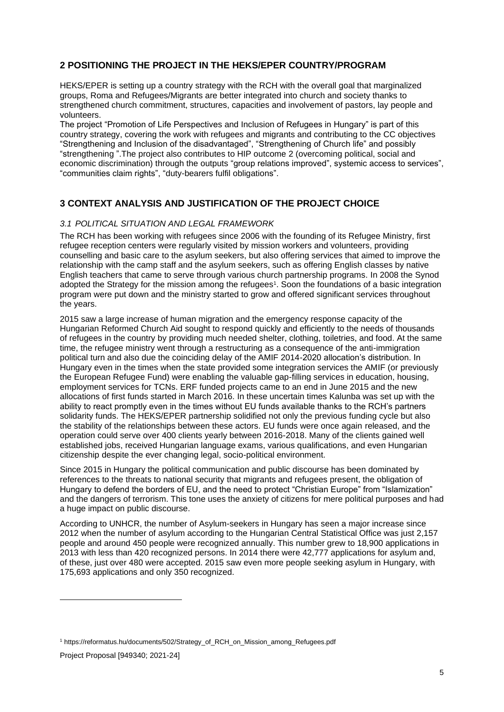# <span id="page-4-0"></span>**2 POSITIONING THE PROJECT IN THE HEKS/EPER COUNTRY/PROGRAM**

HEKS/EPER is setting up a country strategy with the RCH with the overall goal that marginalized groups, Roma and Refugees/Migrants are better integrated into church and society thanks to strengthened church commitment, structures, capacities and involvement of pastors, lay people and volunteers.

The project "Promotion of Life Perspectives and Inclusion of Refugees in Hungary" is part of this country strategy, covering the work with refugees and migrants and contributing to the CC objectives "Strengthening and Inclusion of the disadvantaged", "Strengthening of Church life" and possibly "strengthening ".The project also contributes to HIP outcome 2 (overcoming political, social and economic discrimination) through the outputs "group relations improved", systemic access to services", "communities claim rights", "duty-bearers fulfil obligations".

# <span id="page-4-1"></span>**3 CONTEXT ANALYSIS AND JUSTIFICATION OF THE PROJECT CHOICE**

#### <span id="page-4-2"></span>*3.1 POLITICAL SITUATION AND LEGAL FRAMEWORK*

The RCH has been working with refugees since 2006 with the founding of its Refugee Ministry, first refugee reception centers were regularly visited by mission workers and volunteers, providing counselling and basic care to the asylum seekers, but also offering services that aimed to improve the relationship with the camp staff and the asylum seekers, such as offering English classes by native English teachers that came to serve through various church partnership programs. In 2008 the Synod adopted the Strategy for the mission among the refugees<sup>1</sup>. Soon the foundations of a basic integration program were put down and the ministry started to grow and offered significant services throughout the years.

2015 saw a large increase of human migration and the emergency response capacity of the Hungarian Reformed Church Aid sought to respond quickly and efficiently to the needs of thousands of refugees in the country by providing much needed shelter, clothing, toiletries, and food. At the same time, the refugee ministry went through a restructuring as a consequence of the anti-immigration political turn and also due the coinciding delay of the AMIF 2014-2020 allocation's distribution. In Hungary even in the times when the state provided some integration services the AMIF (or previously the European Refugee Fund) were enabling the valuable gap-filling services in education, housing, employment services for TCNs. ERF funded projects came to an end in June 2015 and the new allocations of first funds started in March 2016. In these uncertain times Kalunba was set up with the ability to react promptly even in the times without EU funds available thanks to the RCH's partners solidarity funds. The HEKS/EPER partnership solidified not only the previous funding cycle but also the stability of the relationships between these actors. EU funds were once again released, and the operation could serve over 400 clients yearly between 2016-2018. Many of the clients gained well established jobs, received Hungarian language exams, various qualifications, and even Hungarian citizenship despite the ever changing legal, socio-political environment.

Since 2015 in Hungary the political communication and public discourse has been dominated by references to the threats to national security that migrants and refugees present, the obligation of Hungary to defend the borders of EU, and the need to protect "Christian Europe" from "Islamization" and the dangers of terrorism. This tone uses the anxiety of citizens for mere political purposes and had a huge impact on public discourse.

According to UNHCR, the number of Asylum-seekers in Hungary has seen a major increase since 2012 when the number of asylum according to the Hungarian Central Statistical Office was just 2,157 people and around 450 people were recognized annually. This number grew to 18,900 applications in 2013 with less than 420 recognized persons. In 2014 there were 42,777 applications for asylum and, of these, just over 480 were accepted. 2015 saw even more people seeking asylum in Hungary, with 175,693 applications and only 350 recognized.

<sup>1</sup> https://reformatus.hu/documents/502/Strategy\_of\_RCH\_on\_Mission\_among\_Refugees.pdf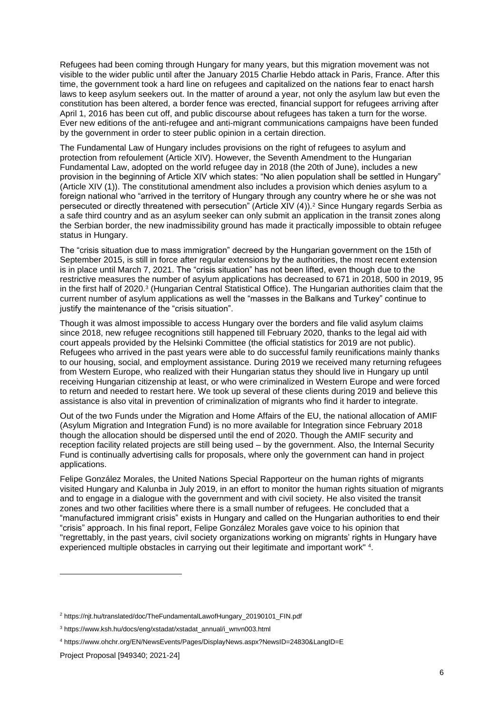Refugees had been coming through Hungary for many years, but this migration movement was not visible to the wider public until after the January 2015 Charlie Hebdo attack in Paris, France. After this time, the government took a hard line on refugees and capitalized on the nations fear to enact harsh laws to keep asylum seekers out. In the matter of around a year, not only the asylum law but even the constitution has been altered, a border fence was erected, financial support for refugees arriving after April 1, 2016 has been cut off, and public discourse about refugees has taken a turn for the worse. Ever new editions of the anti-refugee and anti-migrant communications campaigns have been funded by the government in order to steer public opinion in a certain direction.

The Fundamental Law of Hungary includes provisions on the right of refugees to asylum and protection from refoulement (Article XIV). However, the Seventh Amendment to the Hungarian Fundamental Law, adopted on the world refugee day in 2018 (the 20th of June), includes a new provision in the beginning of Article XIV which states: "No alien population shall be settled in Hungary" (Article XIV (1)). The constitutional amendment also includes a provision which denies asylum to a foreign national who "arrived in the territory of Hungary through any country where he or she was not persecuted or directly threatened with persecution" (Article XIV (4)).<sup>2</sup> Since Hungary regards Serbia as a safe third country and as an asylum seeker can only submit an application in the transit zones along the Serbian border, the new inadmissibility ground has made it practically impossible to obtain refugee status in Hungary.

The "crisis situation due to mass immigration" decreed by the Hungarian government on the 15th of September 2015, is still in force after regular extensions by the authorities, the most recent extension is in place until March 7, 2021. The "crisis situation" has not been lifted, even though due to the restrictive measures the number of asylum applications has decreased to 671 in 2018, 500 in 2019, 95 in the first half of 2020. 3 (Hungarian Central Statistical Office). The Hungarian authorities claim that the current number of asylum applications as well the "masses in the Balkans and Turkey" continue to justify the maintenance of the "crisis situation".

Though it was almost impossible to access Hungary over the borders and file valid asylum claims since 2018, new refugee recognitions still happened till February 2020, thanks to the legal aid with court appeals provided by the Helsinki Committee (the official statistics for 2019 are not public). Refugees who arrived in the past years were able to do successful family reunifications mainly thanks to our housing, social, and employment assistance. During 2019 we received many returning refugees from Western Europe, who realized with their Hungarian status they should live in Hungary up until receiving Hungarian citizenship at least, or who were criminalized in Western Europe and were forced to return and needed to restart here. We took up several of these clients during 2019 and believe this assistance is also vital in prevention of criminalization of migrants who find it harder to integrate.

Out of the two Funds under the Migration and Home Affairs of the EU, the national allocation of AMIF (Asylum Migration and Integration Fund) is no more available for Integration since February 2018 though the allocation should be dispersed until the end of 2020. Though the AMIF security and reception facility related projects are still being used – by the government. Also, the Internal Security Fund is continually advertising calls for proposals, where only the government can hand in project applications.

Felipe González Morales, the United Nations Special Rapporteur on the human rights of migrants visited Hungary and Kalunba in July 2019, in an effort to monitor the human rights situation of migrants and to engage in a dialogue with the government and with civil society. He also visited the transit zones and two other facilities where there is a small number of refugees. He concluded that a "manufactured immigrant crisis" exists in Hungary and called on the Hungarian authorities to end their "crisis" approach. In his final report, Felipe González Morales gave voice to his opinion that "regrettably, in the past years, civil society organizations working on migrants' rights in Hungary have experienced multiple obstacles in carrying out their legitimate and important work" <sup>4</sup> .

<sup>2</sup> https://njt.hu/translated/doc/TheFundamentalLawofHungary\_20190101\_FIN.pdf

<sup>3</sup> https://www.ksh.hu/docs/eng/xstadat/xstadat\_annual/i\_wnvn003.html

<sup>4</sup> https://www.ohchr.org/EN/NewsEvents/Pages/DisplayNews.aspx?NewsID=24830&LangID=E

Project Proposal [949340; 2021-24]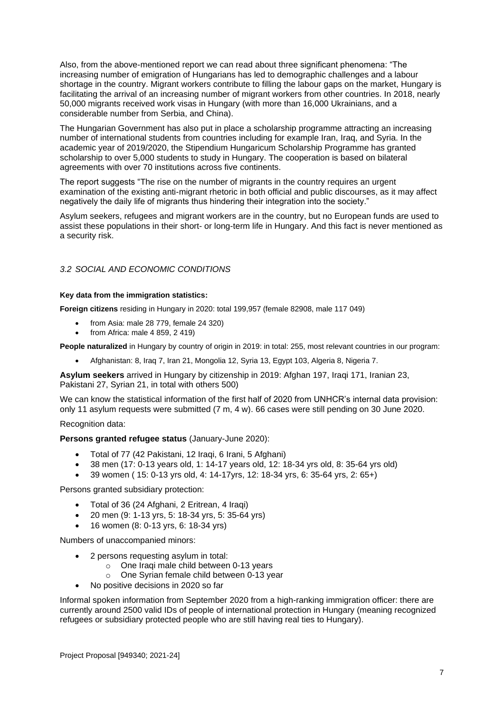Also, from the above-mentioned report we can read about three significant phenomena: "The increasing number of emigration of Hungarians has led to demographic challenges and a labour shortage in the country. Migrant workers contribute to filling the labour gaps on the market, Hungary is facilitating the arrival of an increasing number of migrant workers from other countries. In 2018, nearly 50,000 migrants received work visas in Hungary (with more than 16,000 Ukrainians, and a considerable number from Serbia, and China).

The Hungarian Government has also put in place a scholarship programme attracting an increasing number of international students from countries including for example Iran, Iraq, and Syria. In the academic year of 2019/2020, the Stipendium Hungaricum Scholarship Programme has granted scholarship to over 5,000 students to study in Hungary. The cooperation is based on bilateral agreements with over 70 institutions across five continents.

The report suggests "The rise on the number of migrants in the country requires an urgent examination of the existing anti-migrant rhetoric in both official and public discourses, as it may affect negatively the daily life of migrants thus hindering their integration into the society."

Asylum seekers, refugees and migrant workers are in the country, but no European funds are used to assist these populations in their short- or long-term life in Hungary. And this fact is never mentioned as a security risk.

#### <span id="page-6-0"></span>*3.2 SOCIAL AND ECONOMIC CONDITIONS*

#### **Key data from the immigration statistics:**

**Foreign citizens** residing in Hungary in 2020: total 199,957 (female 82908, male 117 049)

- from Asia: male 28 779, female 24 320)
- from Africa: male 4 859, 2 419)

**People naturalized** in Hungary by country of origin in 2019: in total: 255, most relevant countries in our program:

• Afghanistan: 8, Iraq 7, Iran 21, Mongolia 12, Syria 13, Egypt 103, Algeria 8, Nigeria 7.

**Asylum seekers** arrived in Hungary by citizenship in 2019: Afghan 197, Iraqi 171, Iranian 23, Pakistani 27, Syrian 21, in total with others 500)

We can know the statistical information of the first half of 2020 from UNHCR's internal data provision: only 11 asylum requests were submitted (7 m, 4 w). 66 cases were still pending on 30 June 2020.

Recognition data:

#### **Persons granted refugee status** (January-June 2020):

- Total of 77 (42 Pakistani, 12 Iraqi, 6 Irani, 5 Afghani)
- 38 men (17: 0-13 years old, 1: 14-17 years old, 12: 18-34 yrs old, 8: 35-64 yrs old)
- 39 women ( 15: 0-13 yrs old, 4: 14-17yrs, 12: 18-34 yrs, 6: 35-64 yrs, 2: 65+)

Persons granted subsidiary protection:

- Total of 36 (24 Afghani, 2 Eritrean, 4 Iraqi)
- 20 men (9: 1-13 yrs, 5: 18-34 yrs, 5: 35-64 yrs)
- 16 women (8: 0-13 yrs, 6: 18-34 yrs)

Numbers of unaccompanied minors:

- 2 persons requesting asylum in total:
	- o One Iraqi male child between 0-13 years
	- o One Syrian female child between 0-13 year
- No positive decisions in 2020 so far

Informal spoken information from September 2020 from a high-ranking immigration officer: there are currently around 2500 valid IDs of people of international protection in Hungary (meaning recognized refugees or subsidiary protected people who are still having real ties to Hungary).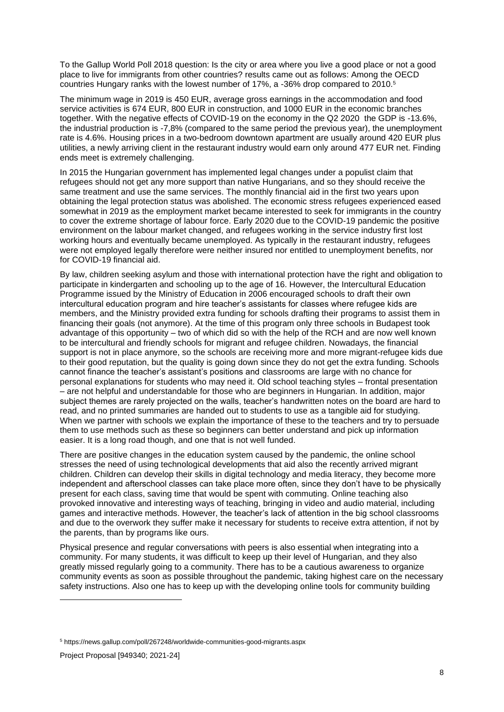To the Gallup World Poll 2018 question: Is the city or area where you live a good place or not a good place to live for immigrants from other countries? results came out as follows: Among the OECD countries Hungary ranks with the lowest number of 17%, a -36% drop compared to 2010.<sup>5</sup>

The minimum wage in 2019 is 450 EUR, average gross earnings in the accommodation and food service activities is 674 EUR, 800 EUR in construction, and 1000 EUR in the economic branches together. With the negative effects of COVID-19 on the economy in the Q2 2020 the GDP is -13.6%, the industrial production is -7,8% (compared to the same period the previous year), the unemployment rate is 4.6%. Housing prices in a two-bedroom downtown apartment are usually around 420 EUR plus utilities, a newly arriving client in the restaurant industry would earn only around 477 EUR net. Finding ends meet is extremely challenging.

In 2015 the Hungarian government has implemented legal changes under a populist claim that refugees should not get any more support than native Hungarians, and so they should receive the same treatment and use the same services. The monthly financial aid in the first two years upon obtaining the legal protection status was abolished. The economic stress refugees experienced eased somewhat in 2019 as the employment market became interested to seek for immigrants in the country to cover the extreme shortage of labour force. Early 2020 due to the COVID-19 pandemic the positive environment on the labour market changed, and refugees working in the service industry first lost working hours and eventually became unemployed. As typically in the restaurant industry, refugees were not employed legally therefore were neither insured nor entitled to unemployment benefits, nor for COVID-19 financial aid.

By law, children seeking asylum and those with international protection have the right and obligation to participate in kindergarten and schooling up to the age of 16. However, the Intercultural Education Programme issued by the Ministry of Education in 2006 encouraged schools to draft their own intercultural education program and hire teacher's assistants for classes where refugee kids are members, and the Ministry provided extra funding for schools drafting their programs to assist them in financing their goals (not anymore). At the time of this program only three schools in Budapest took advantage of this opportunity – two of which did so with the help of the RCH and are now well known to be intercultural and friendly schools for migrant and refugee children. Nowadays, the financial support is not in place anymore, so the schools are receiving more and more migrant-refugee kids due to their good reputation, but the quality is going down since they do not get the extra funding. Schools cannot finance the teacher's assistant's positions and classrooms are large with no chance for personal explanations for students who may need it. Old school teaching styles – frontal presentation – are not helpful and understandable for those who are beginners in Hungarian. In addition, major subject themes are rarely projected on the walls, teacher's handwritten notes on the board are hard to read, and no printed summaries are handed out to students to use as a tangible aid for studying. When we partner with schools we explain the importance of these to the teachers and try to persuade them to use methods such as these so beginners can better understand and pick up information easier. It is a long road though, and one that is not well funded.

There are positive changes in the education system caused by the pandemic, the online school stresses the need of using technological developments that aid also the recently arrived migrant children. Children can develop their skills in digital technology and media literacy, they become more independent and afterschool classes can take place more often, since they don't have to be physically present for each class, saving time that would be spent with commuting. Online teaching also provoked innovative and interesting ways of teaching, bringing in video and audio material, including games and interactive methods. However, the teacher's lack of attention in the big school classrooms and due to the overwork they suffer make it necessary for students to receive extra attention, if not by the parents, than by programs like ours.

Physical presence and regular conversations with peers is also essential when integrating into a community. For many students, it was difficult to keep up their level of Hungarian, and they also greatly missed regularly going to a community. There has to be a cautious awareness to organize community events as soon as possible throughout the pandemic, taking highest care on the necessary safety instructions. Also one has to keep up with the developing online tools for community building

<sup>5</sup> https://news.gallup.com/poll/267248/worldwide-communities-good-migrants.aspx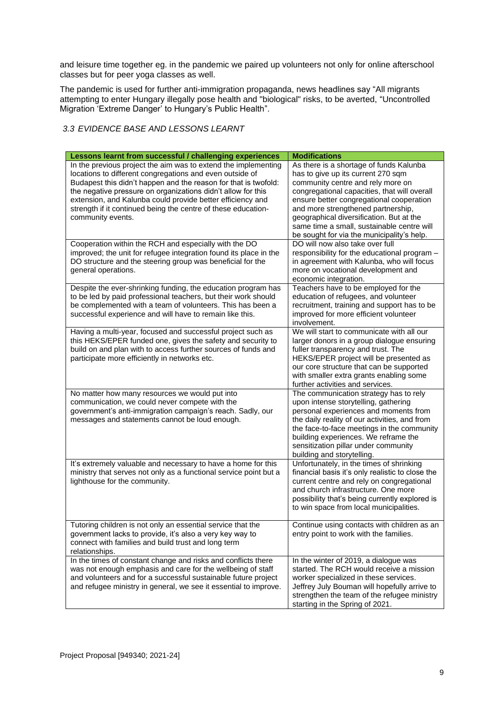and leisure time together eg. in the pandemic we paired up volunteers not only for online afterschool classes but for peer yoga classes as well.

The pandemic is used for further anti-immigration propaganda, news headlines say "All migrants attempting to enter Hungary illegally pose health and "biological" risks, to be averted, "Uncontrolled Migration 'Extreme Danger' to Hungary's Public Health".

### <span id="page-8-0"></span>*3.3 EVIDENCE BASE AND LESSONS LEARNT*

| Lessons learnt from successful / challenging experiences                                                                                                                                                                                                                                                                                                                                                          | <b>Modifications</b>                                                                                                                                                                                                                                                                                                                                                                         |
|-------------------------------------------------------------------------------------------------------------------------------------------------------------------------------------------------------------------------------------------------------------------------------------------------------------------------------------------------------------------------------------------------------------------|----------------------------------------------------------------------------------------------------------------------------------------------------------------------------------------------------------------------------------------------------------------------------------------------------------------------------------------------------------------------------------------------|
| In the previous project the aim was to extend the implementing<br>locations to different congregations and even outside of<br>Budapest this didn't happen and the reason for that is twofold:<br>the negative pressure on organizations didn't allow for this<br>extension, and Kalunba could provide better efficiency and<br>strength if it continued being the centre of these education-<br>community events. | As there is a shortage of funds Kalunba<br>has to give up its current 270 sqm<br>community centre and rely more on<br>congregational capacities, that will overall<br>ensure better congregational cooperation<br>and more strengthened partnership,<br>geographical diversification. But at the<br>same time a small, sustainable centre will<br>be sought for via the municipality's help. |
| Cooperation within the RCH and especially with the DO<br>improved; the unit for refugee integration found its place in the<br>DO structure and the steering group was beneficial for the<br>general operations.                                                                                                                                                                                                   | DO will now also take over full<br>responsibility for the educational program -<br>in agreement with Kalunba, who will focus<br>more on vocational development and<br>economic integration.                                                                                                                                                                                                  |
| Despite the ever-shrinking funding, the education program has<br>to be led by paid professional teachers, but their work should<br>be complemented with a team of volunteers. This has been a<br>successful experience and will have to remain like this.                                                                                                                                                         | Teachers have to be employed for the<br>education of refugees, and volunteer<br>recruitment, training and support has to be<br>improved for more efficient volunteer<br>involvement.                                                                                                                                                                                                         |
| Having a multi-year, focused and successful project such as<br>this HEKS/EPER funded one, gives the safety and security to<br>build on and plan with to access further sources of funds and<br>participate more efficiently in networks etc.                                                                                                                                                                      | We will start to communicate with all our<br>larger donors in a group dialogue ensuring<br>fuller transparency and trust. The<br>HEKS/EPER project will be presented as<br>our core structure that can be supported<br>with smaller extra grants enabling some<br>further activities and services.                                                                                           |
| No matter how many resources we would put into<br>communication, we could never compete with the<br>government's anti-immigration campaign's reach. Sadly, our<br>messages and statements cannot be loud enough.                                                                                                                                                                                                  | The communication strategy has to rely<br>upon intense storytelling, gathering<br>personal experiences and moments from<br>the daily reality of our activities, and from<br>the face-to-face meetings in the community<br>building experiences. We reframe the<br>sensitization pillar under community<br>building and storytelling.                                                         |
| It's extremely valuable and necessary to have a home for this<br>ministry that serves not only as a functional service point but a<br>lighthouse for the community.                                                                                                                                                                                                                                               | Unfortunately, in the times of shrinking<br>financial basis it's only realistic to close the<br>current centre and rely on congregational<br>and church infrastructure. One more<br>possibility that's being currently explored is<br>to win space from local municipalities.                                                                                                                |
| Tutoring children is not only an essential service that the<br>government lacks to provide, it's also a very key way to<br>connect with families and build trust and long term<br>relationships.                                                                                                                                                                                                                  | Continue using contacts with children as an<br>entry point to work with the families.                                                                                                                                                                                                                                                                                                        |
| In the times of constant change and risks and conflicts there<br>was not enough emphasis and care for the wellbeing of staff<br>and volunteers and for a successful sustainable future project<br>and refugee ministry in general, we see it essential to improve.                                                                                                                                                | In the winter of 2019, a dialogue was<br>started. The RCH would receive a mission<br>worker specialized in these services.<br>Jeffrey July Bouman will hopefully arrive to<br>strengthen the team of the refugee ministry<br>starting in the Spring of 2021.                                                                                                                                 |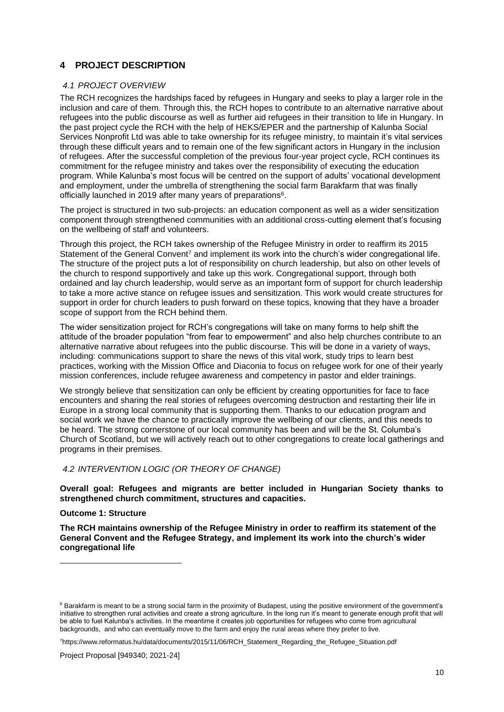# <span id="page-9-0"></span>**4 PROJECT DESCRIPTION**

#### <span id="page-9-1"></span>*4.1 PROJECT OVERVIEW*

The RCH recognizes the hardships faced by refugees in Hungary and seeks to play a larger role in the inclusion and care of them. Through this, the RCH hopes to contribute to an alternative narrative about refugees into the public discourse as well as further aid refugees in their transition to life in Hungary. In the past project cycle the RCH with the help of HEKS/EPER and the partnership of Kalunba Social Services Nonprofit Ltd was able to take ownership for its refugee ministry, to maintain it's vital services through these difficult years and to remain one of the few significant actors in Hungary in the inclusion of refugees. After the successful completion of the previous four-year project cycle, RCH continues its commitment for the refugee ministry and takes over the responsibility of executing the education program. While Kalunba's most focus will be centred on the support of adults' vocational development and employment, under the umbrella of strengthening the social farm Barakfarm that was finally officially launched in 2019 after many years of preparations<sup>6</sup>.

The project is structured in two sub-projects: an education component as well as a wider sensitization component through strengthened communities with an additional cross-cutting element that's focusing on the wellbeing of staff and volunteers.

Through this project, the RCH takes ownership of the Refugee Ministry in order to reaffirm its 2015 Statement of the General Convent<sup>7</sup> and implement its work into the church's wider congregational life. The structure of the project puts a lot of responsibility on church leadership, but also on other levels of the church to respond supportively and take up this work. Congregational support, through both ordained and lay church leadership, would serve as an important form of support for church leadership to take a more active stance on refugee issues and sensitization. This work would create structures for support in order for church leaders to push forward on these topics, knowing that they have a broader scope of support from the RCH behind them.

The wider sensitization project for RCH's congregations will take on many forms to help shift the attitude of the broader population "from fear to empowerment" and also help churches contribute to an alternative narrative about refugees into the public discourse. This will be done in a variety of ways, including: communications support to share the news of this vital work, study trips to learn best practices, working with the Mission Office and Diaconia to focus on refugee work for one of their yearly mission conferences, include refugee awareness and competency in pastor and elder trainings.

We strongly believe that sensitization can only be efficient by creating opportunities for face to face encounters and sharing the real stories of refugees overcoming destruction and restarting their life in Europe in a strong local community that is supporting them. Thanks to our education program and social work we have the chance to practically improve the wellbeing of our clients, and this needs to be heard. The strong cornerstone of our local community has been and will be the St. Columba's Church of Scotland, but we will actively reach out to other congregations to create local gatherings and programs in their premises.

#### <span id="page-9-2"></span>*4.2 INTERVENTION LOGIC (OR THEORY OF CHANGE)*

**Overall goal: Refugees and migrants are better included in Hungarian Society thanks to strengthened church commitment, structures and capacities.**

#### **Outcome 1: Structure**

**The RCH maintains ownership of the Refugee Ministry in order to reaffirm its statement of the General Convent and the Refugee Strategy, and implement its work into the church's wider congregational life**

<sup>&</sup>lt;sup>6</sup> Barakfarm is meant to be a strong social farm in the proximity of Budapest, using the positive environment of the government's initiative to strengthen rural activities and create a strong agriculture. In the long run it's meant to generate enough profit that will be able to fuel Kalunba's activities. In the meantime it creates job opportunities for refugees who come from agricultural backgrounds, and who can eventually move to the farm and enjoy the rural areas where they prefer to live.

<sup>7</sup>https://www.reformatus.hu/data/documents/2015/11/06/RCH\_Statement\_Regarding\_the\_Refugee\_Situation.pdf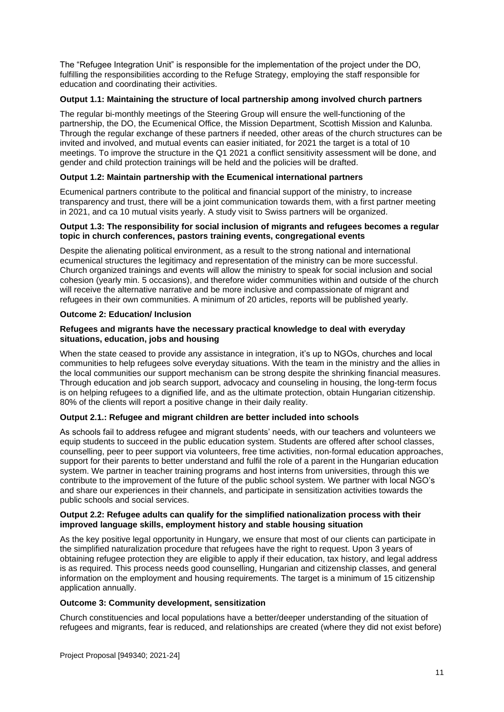The "Refugee Integration Unit" is responsible for the implementation of the project under the DO, fulfilling the responsibilities according to the Refuge Strategy, employing the staff responsible for education and coordinating their activities.

#### **Output 1.1: Maintaining the structure of local partnership among involved church partners**

The regular bi-monthly meetings of the Steering Group will ensure the well-functioning of the partnership, the DO, the Ecumenical Office, the Mission Department, Scottish Mission and Kalunba. Through the regular exchange of these partners if needed, other areas of the church structures can be invited and involved, and mutual events can easier initiated, for 2021 the target is a total of 10 meetings. To improve the structure in the Q1 2021 a conflict sensitivity assessment will be done, and gender and child protection trainings will be held and the policies will be drafted.

#### **Output 1.2: Maintain partnership with the Ecumenical international partners**

Ecumenical partners contribute to the political and financial support of the ministry, to increase transparency and trust, there will be a joint communication towards them, with a first partner meeting in 2021, and ca 10 mutual visits yearly. A study visit to Swiss partners will be organized.

#### **Output 1.3: The responsibility for social inclusion of migrants and refugees becomes a regular topic in church conferences, pastors training events, congregational events**

Despite the alienating political environment, as a result to the strong national and international ecumenical structures the legitimacy and representation of the ministry can be more successful. Church organized trainings and events will allow the ministry to speak for social inclusion and social cohesion (yearly min. 5 occasions), and therefore wider communities within and outside of the church will receive the alternative narrative and be more inclusive and compassionate of migrant and refugees in their own communities. A minimum of 20 articles, reports will be published yearly.

#### **Outcome 2: Education/ Inclusion**

#### **Refugees and migrants have the necessary practical knowledge to deal with everyday situations, education, jobs and housing**

When the state ceased to provide any assistance in integration, it's up to NGOs, churches and local communities to help refugees solve everyday situations. With the team in the ministry and the allies in the local communities our support mechanism can be strong despite the shrinking financial measures. Through education and job search support, advocacy and counseling in housing, the long-term focus is on helping refugees to a dignified life, and as the ultimate protection, obtain Hungarian citizenship. 80% of the clients will report a positive change in their daily reality.

#### **Output 2.1.: Refugee and migrant children are better included into schools**

As schools fail to address refugee and migrant students' needs, with our teachers and volunteers we equip students to succeed in the public education system. Students are offered after school classes, counselling, peer to peer support via volunteers, free time activities, non-formal education approaches, support for their parents to better understand and fulfil the role of a parent in the Hungarian education system. We partner in teacher training programs and host interns from universities, through this we contribute to the improvement of the future of the public school system. We partner with local NGO's and share our experiences in their channels, and participate in sensitization activities towards the public schools and social services.

#### **Output 2.2: Refugee adults can qualify for the simplified nationalization process with their improved language skills, employment history and stable housing situation**

As the key positive legal opportunity in Hungary, we ensure that most of our clients can participate in the simplified naturalization procedure that refugees have the right to request. Upon 3 years of obtaining refugee protection they are eligible to apply if their education, tax history, and legal address is as required. This process needs good counselling, Hungarian and citizenship classes, and general information on the employment and housing requirements. The target is a minimum of 15 citizenship application annually.

#### **Outcome 3: Community development, sensitization**

Church constituencies and local populations have a better/deeper understanding of the situation of refugees and migrants, fear is reduced, and relationships are created (where they did not exist before)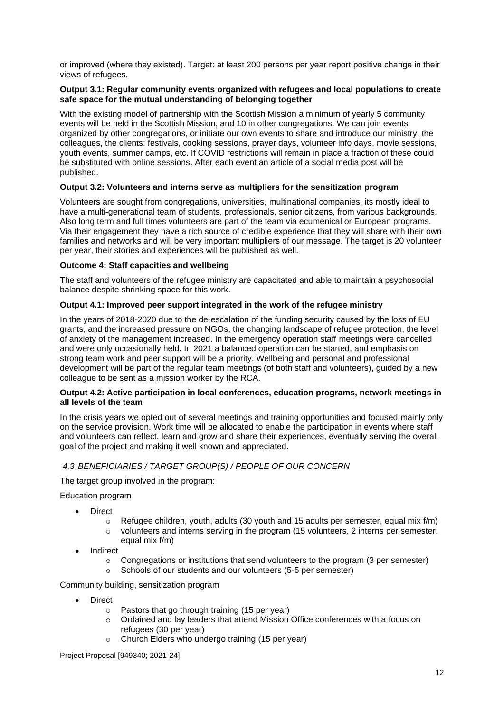or improved (where they existed). Target: at least 200 persons per year report positive change in their views of refugees.

#### **Output 3.1: Regular community events organized with refugees and local populations to create safe space for the mutual understanding of belonging together**

With the existing model of partnership with the Scottish Mission a minimum of yearly 5 community events will be held in the Scottish Mission, and 10 in other congregations. We can join events organized by other congregations, or initiate our own events to share and introduce our ministry, the colleagues, the clients: festivals, cooking sessions, prayer days, volunteer info days, movie sessions, youth events, summer camps, etc. If COVID restrictions will remain in place a fraction of these could be substituted with online sessions. After each event an article of a social media post will be published.

#### **Output 3.2: Volunteers and interns serve as multipliers for the sensitization program**

Volunteers are sought from congregations, universities, multinational companies, its mostly ideal to have a multi-generational team of students, professionals, senior citizens, from various backgrounds. Also long term and full times volunteers are part of the team via ecumenical or European programs. Via their engagement they have a rich source of credible experience that they will share with their own families and networks and will be very important multipliers of our message. The target is 20 volunteer per year, their stories and experiences will be published as well.

#### **Outcome 4: Staff capacities and wellbeing**

The staff and volunteers of the refugee ministry are capacitated and able to maintain a psychosocial balance despite shrinking space for this work.

#### **Output 4.1: Improved peer support integrated in the work of the refugee ministry**

In the years of 2018-2020 due to the de-escalation of the funding security caused by the loss of EU grants, and the increased pressure on NGOs, the changing landscape of refugee protection, the level of anxiety of the management increased. In the emergency operation staff meetings were cancelled and were only occasionally held. In 2021 a balanced operation can be started, and emphasis on strong team work and peer support will be a priority. Wellbeing and personal and professional development will be part of the regular team meetings (of both staff and volunteers), guided by a new colleague to be sent as a mission worker by the RCA.

#### **Output 4.2: Active participation in local conferences, education programs, network meetings in all levels of the team**

In the crisis years we opted out of several meetings and training opportunities and focused mainly only on the service provision. Work time will be allocated to enable the participation in events where staff and volunteers can reflect, learn and grow and share their experiences, eventually serving the overall goal of the project and making it well known and appreciated.

#### <span id="page-11-0"></span>*4.3 BENEFICIARIES / TARGET GROUP(S) / PEOPLE OF OUR CONCERN*

The target group involved in the program:

Education program

- Direct
	- $\circ$  Refugee children, youth, adults (30 youth and 15 adults per semester, equal mix f/m)
	- $\circ$  volunteers and interns serving in the program (15 volunteers, 2 interns per semester, equal mix f/m)
- **Indirect** 
	- $\circ$  Congregations or institutions that send volunteers to the program (3 per semester)
	- o Schools of our students and our volunteers (5-5 per semester)

Community building, sensitization program

- **Direct** 
	- $\circ$  Pastors that go through training (15 per year)
	- $\circ$  Ordained and lay leaders that attend Mission Office conferences with a focus on refugees (30 per year)
	- o Church Elders who undergo training (15 per year)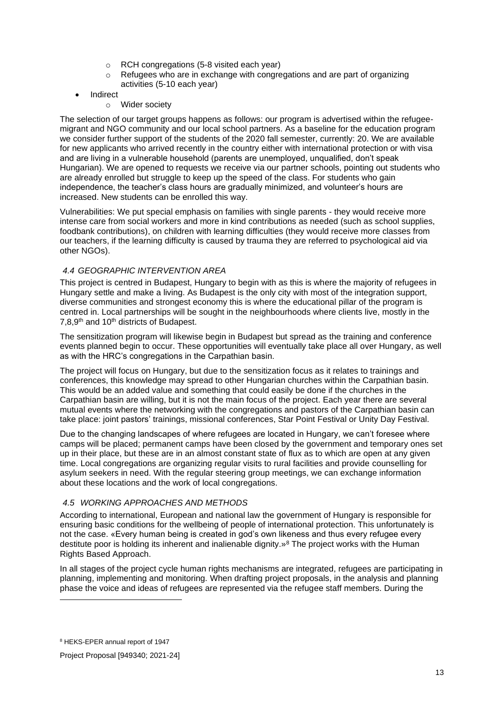- o RCH congregations (5-8 visited each year)
- $\circ$  Refugees who are in exchange with congregations and are part of organizing activities (5-10 each year)
- **Indirect** 
	- o Wider society

The selection of our target groups happens as follows: our program is advertised within the refugeemigrant and NGO community and our local school partners. As a baseline for the education program we consider further support of the students of the 2020 fall semester, currently: 20. We are available for new applicants who arrived recently in the country either with international protection or with visa and are living in a vulnerable household (parents are unemployed, unqualified, don't speak Hungarian). We are opened to requests we receive via our partner schools, pointing out students who are already enrolled but struggle to keep up the speed of the class. For students who gain independence, the teacher's class hours are gradually minimized, and volunteer's hours are increased. New students can be enrolled this way.

Vulnerabilities: We put special emphasis on families with single parents - they would receive more intense care from social workers and more in kind contributions as needed (such as school supplies, foodbank contributions), on children with learning difficulties (they would receive more classes from our teachers, if the learning difficulty is caused by trauma they are referred to psychological aid via other NGOs).

#### <span id="page-12-0"></span>*4.4 GEOGRAPHIC INTERVENTION AREA*

This project is centred in Budapest, Hungary to begin with as this is where the majority of refugees in Hungary settle and make a living. As Budapest is the only city with most of the integration support, diverse communities and strongest economy this is where the educational pillar of the program is centred in. Local partnerships will be sought in the neighbourhoods where clients live, mostly in the 7,8,9<sup>th</sup> and 10<sup>th</sup> districts of Budapest.

The sensitization program will likewise begin in Budapest but spread as the training and conference events planned begin to occur. These opportunities will eventually take place all over Hungary, as well as with the HRC's congregations in the Carpathian basin.

The project will focus on Hungary, but due to the sensitization focus as it relates to trainings and conferences, this knowledge may spread to other Hungarian churches within the Carpathian basin. This would be an added value and something that could easily be done if the churches in the Carpathian basin are willing, but it is not the main focus of the project. Each year there are several mutual events where the networking with the congregations and pastors of the Carpathian basin can take place: joint pastors' trainings, missional conferences, Star Point Festival or Unity Day Festival.

Due to the changing landscapes of where refugees are located in Hungary, we can't foresee where camps will be placed; permanent camps have been closed by the government and temporary ones set up in their place, but these are in an almost constant state of flux as to which are open at any given time. Local congregations are organizing regular visits to rural facilities and provide counselling for asylum seekers in need. With the regular steering group meetings, we can exchange information about these locations and the work of local congregations.

#### <span id="page-12-1"></span>*4.5 WORKING APPROACHES AND METHODS*

According to international, European and national law the government of Hungary is responsible for ensuring basic conditions for the wellbeing of people of international protection. This unfortunately is not the case. «Every human being is created in god's own likeness and thus every refugee every destitute poor is holding its inherent and inalienable dignity.»<sup>8</sup> The project works with the Human Rights Based Approach.

In all stages of the project cycle human rights mechanisms are integrated, refugees are participating in planning, implementing and monitoring. When drafting project proposals, in the analysis and planning phase the voice and ideas of refugees are represented via the refugee staff members. During the

Project Proposal [949340; 2021-24]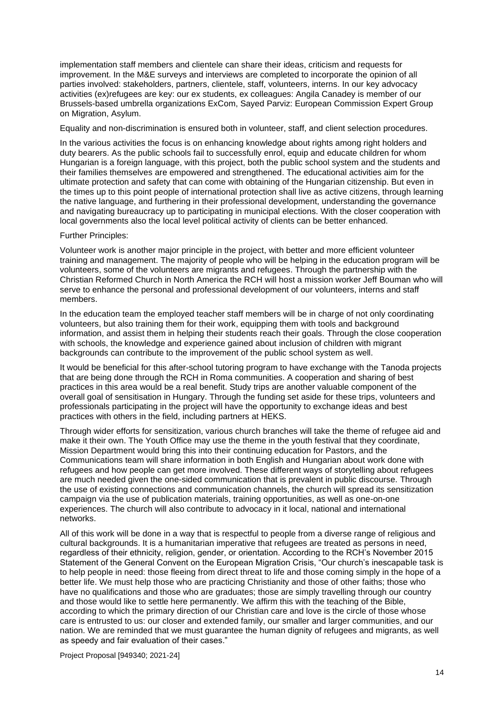implementation staff members and clientele can share their ideas, criticism and requests for improvement. In the M&E surveys and interviews are completed to incorporate the opinion of all parties involved: stakeholders, partners, clientele, staff, volunteers, interns. In our key advocacy activities (ex)refugees are key: our ex students, ex colleagues: Angila Canadey is member of our Brussels-based umbrella organizations ExCom, Sayed Parviz: European Commission Expert Group on Migration, Asylum.

Equality and non-discrimination is ensured both in volunteer, staff, and client selection procedures.

In the various activities the focus is on enhancing knowledge about rights among right holders and duty bearers. As the public schools fail to successfully enrol, equip and educate children for whom Hungarian is a foreign language, with this project, both the public school system and the students and their families themselves are empowered and strengthened. The educational activities aim for the ultimate protection and safety that can come with obtaining of the Hungarian citizenship. But even in the times up to this point people of international protection shall live as active citizens, through learning the native language, and furthering in their professional development, understanding the governance and navigating bureaucracy up to participating in municipal elections. With the closer cooperation with local governments also the local level political activity of clients can be better enhanced.

#### Further Principles:

Volunteer work is another major principle in the project, with better and more efficient volunteer training and management. The majority of people who will be helping in the education program will be volunteers, some of the volunteers are migrants and refugees. Through the partnership with the Christian Reformed Church in North America the RCH will host a mission worker Jeff Bouman who will serve to enhance the personal and professional development of our volunteers, interns and staff members.

In the education team the employed teacher staff members will be in charge of not only coordinating volunteers, but also training them for their work, equipping them with tools and background information, and assist them in helping their students reach their goals. Through the close cooperation with schools, the knowledge and experience gained about inclusion of children with migrant backgrounds can contribute to the improvement of the public school system as well.

It would be beneficial for this after-school tutoring program to have exchange with the Tanoda projects that are being done through the RCH in Roma communities. A cooperation and sharing of best practices in this area would be a real benefit. Study trips are another valuable component of the overall goal of sensitisation in Hungary. Through the funding set aside for these trips, volunteers and professionals participating in the project will have the opportunity to exchange ideas and best practices with others in the field, including partners at HEKS.

Through wider efforts for sensitization, various church branches will take the theme of refugee aid and make it their own. The Youth Office may use the theme in the youth festival that they coordinate, Mission Department would bring this into their continuing education for Pastors, and the Communications team will share information in both English and Hungarian about work done with refugees and how people can get more involved. These different ways of storytelling about refugees are much needed given the one-sided communication that is prevalent in public discourse. Through the use of existing connections and communication channels, the church will spread its sensitization campaign via the use of publication materials, training opportunities, as well as one-on-one experiences. The church will also contribute to advocacy in it local, national and international networks.

All of this work will be done in a way that is respectful to people from a diverse range of religious and cultural backgrounds. It is a humanitarian imperative that refugees are treated as persons in need, regardless of their ethnicity, religion, gender, or orientation. According to the RCH's November 2015 Statement of the General Convent on the European Migration Crisis, "Our church's inescapable task is to help people in need: those fleeing from direct threat to life and those coming simply in the hope of a better life. We must help those who are practicing Christianity and those of other faiths; those who have no qualifications and those who are graduates; those are simply travelling through our country and those would like to settle here permanently. We affirm this with the teaching of the Bible, according to which the primary direction of our Christian care and love is the circle of those whose care is entrusted to us: our closer and extended family, our smaller and larger communities, and our nation. We are reminded that we must guarantee the human dignity of refugees and migrants, as well as speedy and fair evaluation of their cases."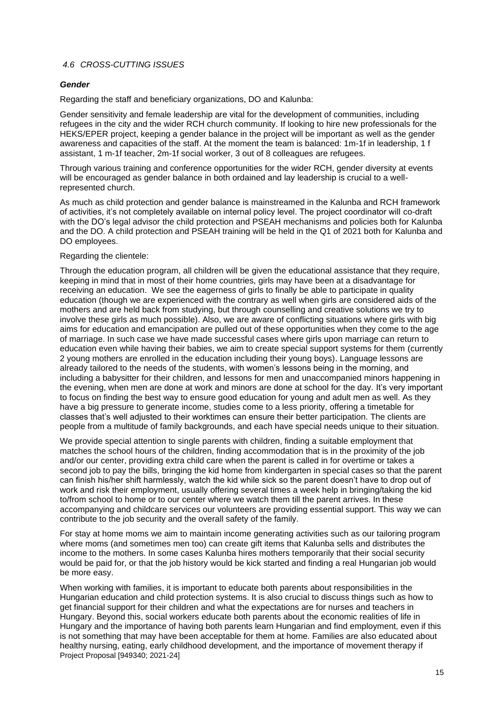#### <span id="page-14-0"></span>*4.6 CROSS-CUTTING ISSUES*

#### <span id="page-14-1"></span>*Gender*

Regarding the staff and beneficiary organizations, DO and Kalunba:

Gender sensitivity and female leadership are vital for the development of communities, including refugees in the city and the wider RCH church community. If looking to hire new professionals for the HEKS/EPER project, keeping a gender balance in the project will be important as well as the gender awareness and capacities of the staff. At the moment the team is balanced: 1m-1f in leadership, 1 f assistant, 1 m-1f teacher, 2m-1f social worker, 3 out of 8 colleagues are refugees.

Through various training and conference opportunities for the wider RCH, gender diversity at events will be encouraged as gender balance in both ordained and lay leadership is crucial to a wellrepresented church.

As much as child protection and gender balance is mainstreamed in the Kalunba and RCH framework of activities, it's not completely available on internal policy level. The project coordinator will co-draft with the DO's legal advisor the child protection and PSEAH mechanisms and policies both for Kalunba and the DO. A child protection and PSEAH training will be held in the Q1 of 2021 both for Kalunba and DO employees.

#### Regarding the clientele:

Through the education program, all children will be given the educational assistance that they require, keeping in mind that in most of their home countries, girls may have been at a disadvantage for receiving an education. We see the eagerness of girls to finally be able to participate in quality education (though we are experienced with the contrary as well when girls are considered aids of the mothers and are held back from studying, but through counselling and creative solutions we try to involve these girls as much possible). Also, we are aware of conflicting situations where girls with big aims for education and emancipation are pulled out of these opportunities when they come to the age of marriage. In such case we have made successful cases where girls upon marriage can return to education even while having their babies, we aim to create special support systems for them (currently 2 young mothers are enrolled in the education including their young boys). Language lessons are already tailored to the needs of the students, with women's lessons being in the morning, and including a babysitter for their children, and lessons for men and unaccompanied minors happening in the evening, when men are done at work and minors are done at school for the day. It's very important to focus on finding the best way to ensure good education for young and adult men as well. As they have a big pressure to generate income, studies come to a less priority, offering a timetable for classes that's well adjusted to their worktimes can ensure their better participation. The clients are people from a multitude of family backgrounds, and each have special needs unique to their situation.

We provide special attention to single parents with children, finding a suitable employment that matches the school hours of the children, finding accommodation that is in the proximity of the job and/or our center, providing extra child care when the parent is called in for overtime or takes a second job to pay the bills, bringing the kid home from kindergarten in special cases so that the parent can finish his/her shift harmlessly, watch the kid while sick so the parent doesn't have to drop out of work and risk their employment, usually offering several times a week help in bringing/taking the kid to/from school to home or to our center where we watch them till the parent arrives. In these accompanying and childcare services our volunteers are providing essential support. This way we can contribute to the job security and the overall safety of the family.

For stay at home moms we aim to maintain income generating activities such as our tailoring program where moms (and sometimes men too) can create gift items that Kalunba sells and distributes the income to the mothers. In some cases Kalunba hires mothers temporarily that their social security would be paid for, or that the job history would be kick started and finding a real Hungarian job would be more easy.

Project Proposal [949340; 2021-24] When working with families, it is important to educate both parents about responsibilities in the Hungarian education and child protection systems. It is also crucial to discuss things such as how to get financial support for their children and what the expectations are for nurses and teachers in Hungary. Beyond this, social workers educate both parents about the economic realities of life in Hungary and the importance of having both parents learn Hungarian and find employment, even if this is not something that may have been acceptable for them at home. Families are also educated about healthy nursing, eating, early childhood development, and the importance of movement therapy if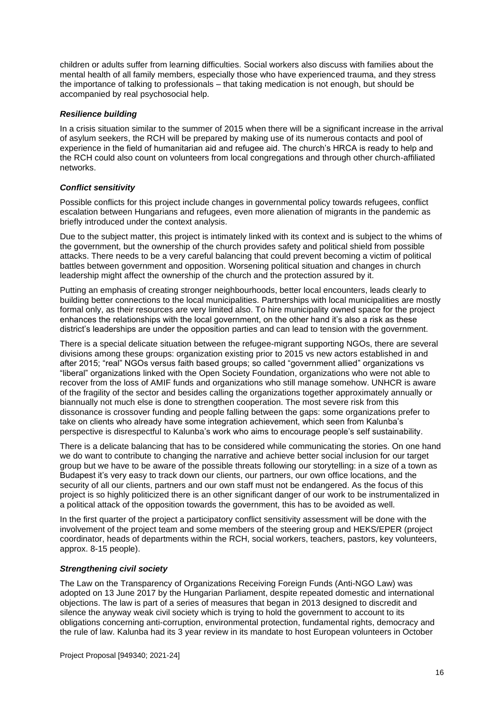children or adults suffer from learning difficulties. Social workers also discuss with families about the mental health of all family members, especially those who have experienced trauma, and they stress the importance of talking to professionals – that taking medication is not enough, but should be accompanied by real psychosocial help.

#### <span id="page-15-0"></span>*Resilience building*

In a crisis situation similar to the summer of 2015 when there will be a significant increase in the arrival of asylum seekers, the RCH will be prepared by making use of its numerous contacts and pool of experience in the field of humanitarian aid and refugee aid. The church's HRCA is ready to help and the RCH could also count on volunteers from local congregations and through other church-affiliated networks.

### <span id="page-15-1"></span>*Conflict sensitivity*

Possible conflicts for this project include changes in governmental policy towards refugees, conflict escalation between Hungarians and refugees, even more alienation of migrants in the pandemic as briefly introduced under the context analysis.

Due to the subject matter, this project is intimately linked with its context and is subject to the whims of the government, but the ownership of the church provides safety and political shield from possible attacks. There needs to be a very careful balancing that could prevent becoming a victim of political battles between government and opposition. Worsening political situation and changes in church leadership might affect the ownership of the church and the protection assured by it.

Putting an emphasis of creating stronger neighbourhoods, better local encounters, leads clearly to building better connections to the local municipalities. Partnerships with local municipalities are mostly formal only, as their resources are very limited also. To hire municipality owned space for the project enhances the relationships with the local government, on the other hand it's also a risk as these district's leaderships are under the opposition parties and can lead to tension with the government.

There is a special delicate situation between the refugee-migrant supporting NGOs, there are several divisions among these groups: organization existing prior to 2015 vs new actors established in and after 2015; "real" NGOs versus faith based groups; so called "government allied" organizations vs "liberal" organizations linked with the Open Society Foundation, organizations who were not able to recover from the loss of AMIF funds and organizations who still manage somehow. UNHCR is aware of the fragility of the sector and besides calling the organizations together approximately annually or biannually not much else is done to strengthen cooperation. The most severe risk from this dissonance is crossover funding and people falling between the gaps: some organizations prefer to take on clients who already have some integration achievement, which seen from Kalunba's perspective is disrespectful to Kalunba's work who aims to encourage people's self sustainability.

There is a delicate balancing that has to be considered while communicating the stories. On one hand we do want to contribute to changing the narrative and achieve better social inclusion for our target group but we have to be aware of the possible threats following our storytelling: in a size of a town as Budapest it's very easy to track down our clients, our partners, our own office locations, and the security of all our clients, partners and our own staff must not be endangered. As the focus of this project is so highly politicized there is an other significant danger of our work to be instrumentalized in a political attack of the opposition towards the government, this has to be avoided as well.

In the first quarter of the project a participatory conflict sensitivity assessment will be done with the involvement of the project team and some members of the steering group and HEKS/EPER (project coordinator, heads of departments within the RCH, social workers, teachers, pastors, key volunteers, approx. 8-15 people).

#### *Strengthening civil society*

The Law on the Transparency of Organizations Receiving Foreign Funds (Anti-NGO Law) was adopted on 13 June 2017 by the Hungarian Parliament, despite repeated domestic and international objections. The law is part of a series of measures that began in 2013 designed to discredit and silence the anyway weak civil society which is trying to hold the government to account to its obligations concerning anti-corruption, environmental protection, fundamental rights, democracy and the rule of law. Kalunba had its 3 year review in its mandate to host European volunteers in October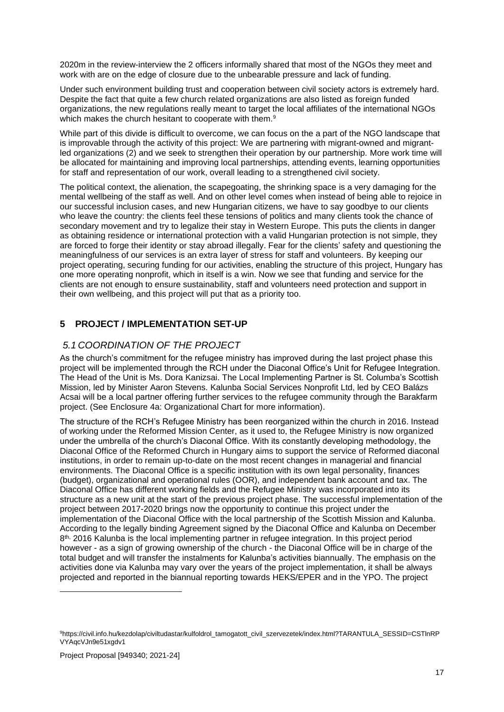2020m in the review-interview the 2 officers informally shared that most of the NGOs they meet and work with are on the edge of closure due to the unbearable pressure and lack of funding.

Under such environment building trust and cooperation between civil society actors is extremely hard. Despite the fact that quite a few church related organizations are also listed as foreign funded organizations, the new regulations really meant to target the local affiliates of the international NGOs which makes the church hesitant to cooperate with them.<sup>9</sup>

While part of this divide is difficult to overcome, we can focus on the a part of the NGO landscape that is improvable through the activity of this project: We are partnering with migrant-owned and migrantled organizations (2) and we seek to strengthen their operation by our partnership. More work time will be allocated for maintaining and improving local partnerships, attending events, learning opportunities for staff and representation of our work, overall leading to a strengthened civil society.

The political context, the alienation, the scapegoating, the shrinking space is a very damaging for the mental wellbeing of the staff as well. And on other level comes when instead of being able to rejoice in our successful inclusion cases, and new Hungarian citizens, we have to say goodbye to our clients who leave the country: the clients feel these tensions of politics and many clients took the chance of secondary movement and try to legalize their stay in Western Europe. This puts the clients in danger as obtaining residence or international protection with a valid Hungarian protection is not simple, they are forced to forge their identity or stay abroad illegally. Fear for the clients' safety and questioning the meaningfulness of our services is an extra layer of stress for staff and volunteers. By keeping our project operating, securing funding for our activities, enabling the structure of this project, Hungary has one more operating nonprofit, which in itself is a win. Now we see that funding and service for the clients are not enough to ensure sustainability, staff and volunteers need protection and support in their own wellbeing, and this project will put that as a priority too.

# <span id="page-16-0"></span>**5 PROJECT / IMPLEMENTATION SET-UP**

# <span id="page-16-1"></span>*5.1 COORDINATION OF THE PROJECT*

As the church's commitment for the refugee ministry has improved during the last project phase this project will be implemented through the RCH under the Diaconal Office's Unit for Refugee Integration. The Head of the Unit is Ms. Dora Kanizsai. The Local Implementing Partner is St. Columba's Scottish Mission, led by Minister Aaron Stevens. Kalunba Social Services Nonprofit Ltd, led by CEO Balázs Acsai will be a local partner offering further services to the refugee community through the Barakfarm project. (See Enclosure 4a: Organizational Chart for more information).

The structure of the RCH's Refugee Ministry has been reorganized within the church in 2016. Instead of working under the Reformed Mission Center, as it used to, the Refugee Ministry is now organized under the umbrella of the church's Diaconal Office. With its constantly developing methodology, the Diaconal Office of the Reformed Church in Hungary aims to support the service of Reformed diaconal institutions, in order to remain up-to-date on the most recent changes in managerial and financial environments. The Diaconal Office is a specific institution with its own legal personality, finances (budget), organizational and operational rules (OOR), and independent bank account and tax. The Diaconal Office has different working fields and the Refugee Ministry was incorporated into its structure as a new unit at the start of the previous project phase. The successful implementation of the project between 2017-2020 brings now the opportunity to continue this project under the implementation of the Diaconal Office with the local partnership of the Scottish Mission and Kalunba. According to the legally binding Agreement signed by the Diaconal Office and Kalunba on December 8<sup>th, 2016</sup> Kalunba is the local implementing partner in refugee integration. In this project period however - as a sign of growing ownership of the church - the Diaconal Office will be in charge of the total budget and will transfer the instalments for Kalunba's activities biannually. The emphasis on the activities done via Kalunba may vary over the years of the project implementation, it shall be always projected and reported in the biannual reporting towards HEKS/EPER and in the YPO. The project

<sup>9</sup>https://civil.info.hu/kezdolap/civiltudastar/kulfoldrol\_tamogatott\_civil\_szervezetek/index.html?TARANTULA\_SESSID=CSTInRP VYAqcVJn9e51xgdv1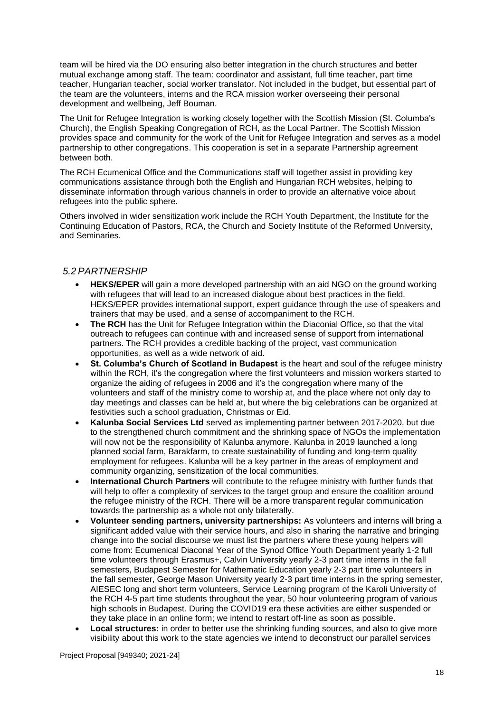team will be hired via the DO ensuring also better integration in the church structures and better mutual exchange among staff. The team: coordinator and assistant, full time teacher, part time teacher, Hungarian teacher, social worker translator. Not included in the budget, but essential part of the team are the volunteers, interns and the RCA mission worker overseeing their personal development and wellbeing, Jeff Bouman.

The Unit for Refugee Integration is working closely together with the Scottish Mission (St. Columba's Church), the English Speaking Congregation of RCH, as the Local Partner. The Scottish Mission provides space and community for the work of the Unit for Refugee Integration and serves as a model partnership to other congregations. This cooperation is set in a separate Partnership agreement between both.

The RCH Ecumenical Office and the Communications staff will together assist in providing key communications assistance through both the English and Hungarian RCH websites, helping to disseminate information through various channels in order to provide an alternative voice about refugees into the public sphere.

Others involved in wider sensitization work include the RCH Youth Department, the Institute for the Continuing Education of Pastors, RCA, the Church and Society Institute of the Reformed University, and Seminaries.

### <span id="page-17-0"></span>*5.2 PARTNERSHIP*

- **HEKS/EPER** will gain a more developed partnership with an aid NGO on the ground working with refugees that will lead to an increased dialogue about best practices in the field. HEKS/EPER provides international support, expert guidance through the use of speakers and trainers that may be used, and a sense of accompaniment to the RCH.
- **The RCH** has the Unit for Refugee Integration within the Diaconial Office, so that the vital outreach to refugees can continue with and increased sense of support from international partners. The RCH provides a credible backing of the project, vast communication opportunities, as well as a wide network of aid.
- **St. Columba's Church of Scotland in Budapest** is the heart and soul of the refugee ministry within the RCH, it's the congregation where the first volunteers and mission workers started to organize the aiding of refugees in 2006 and it's the congregation where many of the volunteers and staff of the ministry come to worship at, and the place where not only day to day meetings and classes can be held at, but where the big celebrations can be organized at festivities such a school graduation, Christmas or Eid.
- **Kalunba Social Services Ltd** served as implementing partner between 2017-2020, but due to the strengthened church commitment and the shrinking space of NGOs the implementation will now not be the responsibility of Kalunba anymore. Kalunba in 2019 launched a long planned social farm, Barakfarm, to create sustainability of funding and long-term quality employment for refugees. Kalunba will be a key partner in the areas of employment and community organizing, sensitization of the local communities.
- **International Church Partners** will contribute to the refugee ministry with further funds that will help to offer a complexity of services to the target group and ensure the coalition around the refugee ministry of the RCH. There will be a more transparent regular communication towards the partnership as a whole not only bilaterally.
- **Volunteer sending partners, university partnerships:** As volunteers and interns will bring a significant added value with their service hours, and also in sharing the narrative and bringing change into the social discourse we must list the partners where these young helpers will come from: Ecumenical Diaconal Year of the Synod Office Youth Department yearly 1-2 full time volunteers through Erasmus+, Calvin University yearly 2-3 part time interns in the fall semesters, Budapest Semester for Mathematic Education yearly 2-3 part time volunteers in the fall semester, George Mason University yearly 2-3 part time interns in the spring semester, AIESEC long and short term volunteers, Service Learning program of the Karoli University of the RCH 4-5 part time students throughout the year, 50 hour volunteering program of various high schools in Budapest. During the COVID19 era these activities are either suspended or they take place in an online form; we intend to restart off-line as soon as possible.
- **Local structures:** in order to better use the shrinking funding sources, and also to give more visibility about this work to the state agencies we intend to deconstruct our parallel services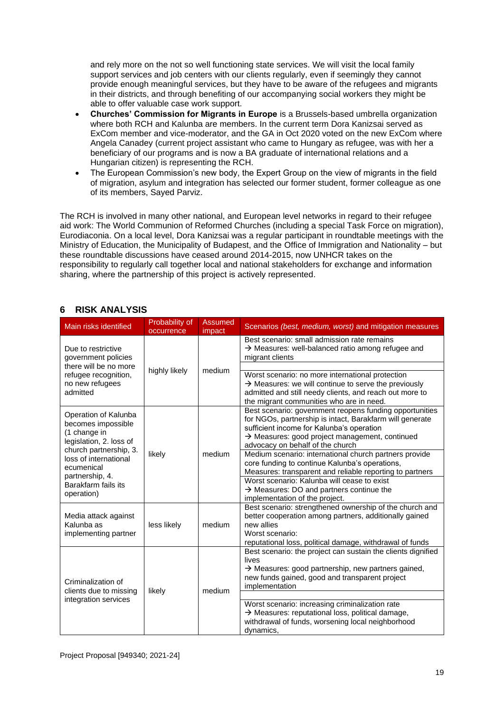and rely more on the not so well functioning state services. We will visit the local family support services and job centers with our clients regularly, even if seemingly they cannot provide enough meaningful services, but they have to be aware of the refugees and migrants in their districts, and through benefiting of our accompanying social workers they might be able to offer valuable case work support.

- **Churches' Commission for Migrants in Europe** is a Brussels-based umbrella organization where both RCH and Kalunba are members. In the current term Dora Kanizsai served as ExCom member and vice-moderator, and the GA in Oct 2020 voted on the new ExCom where Angela Canadey (current project assistant who came to Hungary as refugee, was with her a beneficiary of our programs and is now a BA graduate of international relations and a Hungarian citizen) is representing the RCH.
- The European Commission's new body, the Expert Group on the view of migrants in the field of migration, asylum and integration has selected our former student, former colleague as one of its members, Sayed Parviz.

The RCH is involved in many other national, and European level networks in regard to their refugee aid work: The World Communion of Reformed Churches (including a special Task Force on migration), Eurodiaconia. On a local level, Dora Kanizsai was a regular participant in roundtable meetings with the Ministry of Education, the Municipality of Budapest, and the Office of Immigration and Nationality – but these roundtable discussions have ceased around 2014-2015, now UNHCR takes on the responsibility to regularly call together local and national stakeholders for exchange and information sharing, where the partnership of this project is actively represented.

# <span id="page-18-0"></span>**6 RISK ANALYSIS**

| Main risks identified                                                                                           | Probability of<br>occurrence | Assumed<br>impact | Scenarios (best, medium, worst) and mitigation measures                                                                                                                                                                                                            |
|-----------------------------------------------------------------------------------------------------------------|------------------------------|-------------------|--------------------------------------------------------------------------------------------------------------------------------------------------------------------------------------------------------------------------------------------------------------------|
| Due to restrictive<br>government policies                                                                       |                              | medium            | Best scenario: small admission rate remains<br>$\rightarrow$ Measures: well-balanced ratio among refugee and<br>migrant clients                                                                                                                                    |
| there will be no more                                                                                           | highly likely                |                   |                                                                                                                                                                                                                                                                    |
| refugee recognition,<br>no new refugees<br>admitted                                                             |                              |                   | Worst scenario: no more international protection<br>$\rightarrow$ Measures: we will continue to serve the previously<br>admitted and still needy clients, and reach out more to<br>the migrant communities who are in need.                                        |
| Operation of Kalunba<br>becomes impossible<br>(1 change in<br>legislation, 2. loss of<br>church partnership, 3. |                              |                   | Best scenario: government reopens funding opportunities<br>for NGOs, partnership is intact, Barakfarm will generate<br>sufficient income for Kalunba's operation<br>$\rightarrow$ Measures: good project management, continued<br>advocacy on behalf of the church |
| loss of international<br>ecumenical                                                                             | likely                       | medium            | Medium scenario: international church partners provide<br>core funding to continue Kalunba's operations,<br>Measures: transparent and reliable reporting to partners                                                                                               |
| partnership, 4.<br>Barakfarm fails its<br>operation)                                                            |                              |                   | Worst scenario: Kalunba will cease to exist<br>$\rightarrow$ Measures: DO and partners continue the<br>implementation of the project.                                                                                                                              |
| Media attack against<br>Kalunba as<br>implementing partner                                                      | less likely                  | medium            | Best scenario: strengthened ownership of the church and<br>better cooperation among partners, additionally gained<br>new allies<br>Worst scenario:<br>reputational loss, political damage, withdrawal of funds                                                     |
| Criminalization of                                                                                              | likely                       |                   | Best scenario: the project can sustain the clients dignified<br>lives<br>$\rightarrow$ Measures: good partnership, new partners gained,<br>new funds gained, good and transparent project<br>implementation                                                        |
| clients due to missing<br>integration services                                                                  |                              | medium            |                                                                                                                                                                                                                                                                    |
|                                                                                                                 |                              |                   | Worst scenario: increasing criminalization rate<br>$\rightarrow$ Measures: reputational loss, political damage,<br>withdrawal of funds, worsening local neighborhood<br>dynamics,                                                                                  |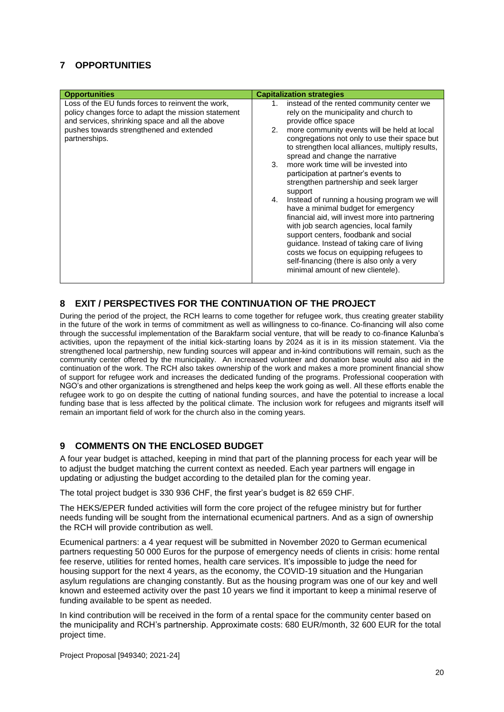# <span id="page-19-0"></span>**7 OPPORTUNITIES**

| <b>Opportunities</b>                                                                                                                                                                                                     | <b>Capitalization strategies</b>                                                                                                                                                                                                                                                                                                                                                                                                                                                                                                                                                                                                                                                                                                                                                                                                                                       |
|--------------------------------------------------------------------------------------------------------------------------------------------------------------------------------------------------------------------------|------------------------------------------------------------------------------------------------------------------------------------------------------------------------------------------------------------------------------------------------------------------------------------------------------------------------------------------------------------------------------------------------------------------------------------------------------------------------------------------------------------------------------------------------------------------------------------------------------------------------------------------------------------------------------------------------------------------------------------------------------------------------------------------------------------------------------------------------------------------------|
| Loss of the EU funds forces to reinvent the work,<br>policy changes force to adapt the mission statement<br>and services, shrinking space and all the above<br>pushes towards strengthened and extended<br>partnerships. | instead of the rented community center we<br>1.<br>rely on the municipality and church to<br>provide office space<br>more community events will be held at local<br>2.<br>congregations not only to use their space but<br>to strengthen local alliances, multiply results,<br>spread and change the narrative<br>more work time will be invested into<br>3.<br>participation at partner's events to<br>strengthen partnership and seek larger<br>support<br>Instead of running a housing program we will<br>4.<br>have a minimal budget for emergency<br>financial aid, will invest more into partnering<br>with job search agencies, local family<br>support centers, foodbank and social<br>guidance. Instead of taking care of living<br>costs we focus on equipping refugees to<br>self-financing (there is also only a very<br>minimal amount of new clientele). |

# <span id="page-19-1"></span>**8 EXIT / PERSPECTIVES FOR THE CONTINUATION OF THE PROJECT**

During the period of the project, the RCH learns to come together for refugee work, thus creating greater stability in the future of the work in terms of commitment as well as willingness to co-finance. Co-financing will also come through the successful implementation of the Barakfarm social venture, that will be ready to co-finance Kalunba's activities, upon the repayment of the initial kick-starting loans by 2024 as it is in its mission statement. Via the strengthened local partnership, new funding sources will appear and in-kind contributions will remain, such as the community center offered by the municipality. An increased volunteer and donation base would also aid in the continuation of the work. The RCH also takes ownership of the work and makes a more prominent financial show of support for refugee work and increases the dedicated funding of the programs. Professional cooperation with NGO's and other organizations is strengthened and helps keep the work going as well. All these efforts enable the refugee work to go on despite the cutting of national funding sources, and have the potential to increase a local funding base that is less affected by the political climate. The inclusion work for refugees and migrants itself will remain an important field of work for the church also in the coming years.

# <span id="page-19-2"></span>**9 COMMENTS ON THE ENCLOSED BUDGET**

A four year budget is attached, keeping in mind that part of the planning process for each year will be to adjust the budget matching the current context as needed. Each year partners will engage in updating or adjusting the budget according to the detailed plan for the coming year.

The total project budget is 330 936 CHF, the first year's budget is 82 659 CHF.

The HEKS/EPER funded activities will form the core project of the refugee ministry but for further needs funding will be sought from the international ecumenical partners. And as a sign of ownership the RCH will provide contribution as well.

Ecumenical partners: a 4 year request will be submitted in November 2020 to German ecumenical partners requesting 50 000 Euros for the purpose of emergency needs of clients in crisis: home rental fee reserve, utilities for rented homes, health care services. It's impossible to judge the need for housing support for the next 4 years, as the economy, the COVID-19 situation and the Hungarian asylum regulations are changing constantly. But as the housing program was one of our key and well known and esteemed activity over the past 10 years we find it important to keep a minimal reserve of funding available to be spent as needed.

In kind contribution will be received in the form of a rental space for the community center based on the municipality and RCH's partnership. Approximate costs: 680 EUR/month, 32 600 EUR for the total project time.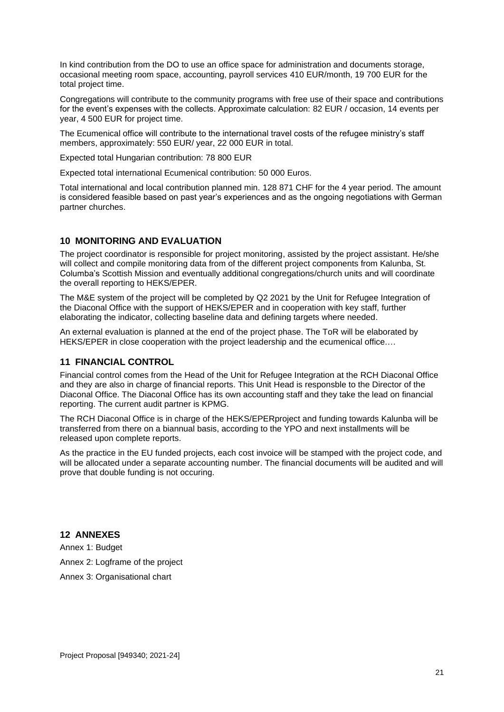In kind contribution from the DO to use an office space for administration and documents storage, occasional meeting room space, accounting, payroll services 410 EUR/month, 19 700 EUR for the total project time.

Congregations will contribute to the community programs with free use of their space and contributions for the event's expenses with the collects. Approximate calculation: 82 EUR / occasion, 14 events per year, 4 500 EUR for project time.

The Ecumenical office will contribute to the international travel costs of the refugee ministry's staff members, approximately: 550 EUR/ year, 22 000 EUR in total.

Expected total Hungarian contribution: 78 800 EUR

Expected total international Ecumenical contribution: 50 000 Euros.

Total international and local contribution planned min. 128 871 CHF for the 4 year period. The amount is considered feasible based on past year's experiences and as the ongoing negotiations with German partner churches.

#### <span id="page-20-0"></span>**10 MONITORING AND EVALUATION**

The project coordinator is responsible for project monitoring, assisted by the project assistant. He/she will collect and compile monitoring data from of the different project components from Kalunba, St. Columba's Scottish Mission and eventually additional congregations/church units and will coordinate the overall reporting to HEKS/EPER.

The M&E system of the project will be completed by Q2 2021 by the Unit for Refugee Integration of the Diaconal Office with the support of HEKS/EPER and in cooperation with key staff, further elaborating the indicator, collecting baseline data and defining targets where needed.

An external evaluation is planned at the end of the project phase. The ToR will be elaborated by HEKS/EPER in close cooperation with the project leadership and the ecumenical office.…

#### <span id="page-20-1"></span>**11 FINANCIAL CONTROL**

Financial control comes from the Head of the Unit for Refugee Integration at the RCH Diaconal Office and they are also in charge of financial reports. This Unit Head is responsble to the Director of the Diaconal Office. The Diaconal Office has its own accounting staff and they take the lead on financial reporting. The current audit partner is KPMG.

The RCH Diaconal Office is in charge of the HEKS/EPERproject and funding towards Kalunba will be transferred from there on a biannual basis, according to the YPO and next installments will be released upon complete reports.

As the practice in the EU funded projects, each cost invoice will be stamped with the project code, and will be allocated under a separate accounting number. The financial documents will be audited and will prove that double funding is not occuring.

# <span id="page-20-2"></span>**12 ANNEXES**

Annex 1: Budget Annex 2: Logframe of the project Annex 3: Organisational chart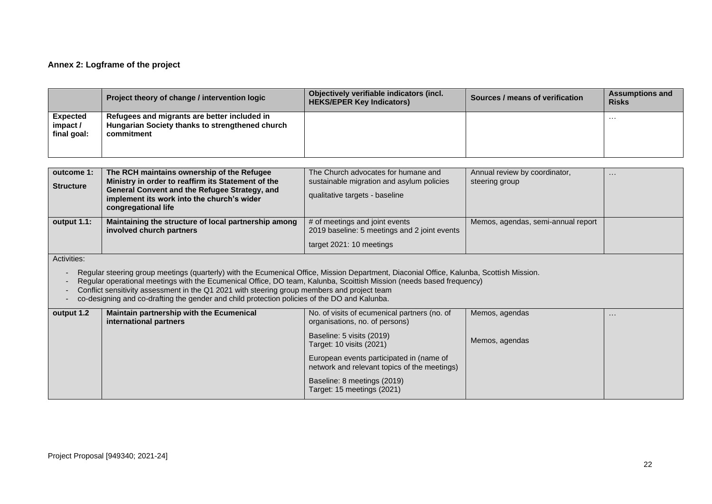# **Annex 2: Logframe of the project**

|                                            | Project theory of change / intervention logic                                                                                                                                                                                                                                                                                                                                                                                                                   | Objectively verifiable indicators (incl.<br><b>HEKS/EPER Key Indicators)</b>                                       | Sources / means of verification                 | <b>Assumptions and</b><br><b>Risks</b> |  |  |
|--------------------------------------------|-----------------------------------------------------------------------------------------------------------------------------------------------------------------------------------------------------------------------------------------------------------------------------------------------------------------------------------------------------------------------------------------------------------------------------------------------------------------|--------------------------------------------------------------------------------------------------------------------|-------------------------------------------------|----------------------------------------|--|--|
| <b>Expected</b><br>impact /<br>final goal: | Refugees and migrants are better included in<br>Hungarian Society thanks to strengthened church<br>commitment                                                                                                                                                                                                                                                                                                                                                   |                                                                                                                    |                                                 | $\cdots$                               |  |  |
|                                            |                                                                                                                                                                                                                                                                                                                                                                                                                                                                 |                                                                                                                    |                                                 |                                        |  |  |
| outcome 1:<br><b>Structure</b>             | The RCH maintains ownership of the Refugee<br>Ministry in order to reaffirm its Statement of the<br>General Convent and the Refugee Strategy, and<br>implement its work into the church's wider<br>congregational life                                                                                                                                                                                                                                          | The Church advocates for humane and<br>sustainable migration and asylum policies<br>qualitative targets - baseline | Annual review by coordinator,<br>steering group | $\cdots$                               |  |  |
| output 1.1:                                | Maintaining the structure of local partnership among<br>involved church partners                                                                                                                                                                                                                                                                                                                                                                                | # of meetings and joint events<br>2019 baseline: 5 meetings and 2 joint events                                     | Memos, agendas, semi-annual report              |                                        |  |  |
|                                            |                                                                                                                                                                                                                                                                                                                                                                                                                                                                 | target 2021: 10 meetings                                                                                           |                                                 |                                        |  |  |
| Activities:                                | Regular steering group meetings (quarterly) with the Ecumenical Office, Mission Department, Diaconial Office, Kalunba, Scottish Mission.<br>Regular operational meetings with the Ecumenical Office, DO team, Kalunba, Scoittish Mission (needs based frequency)<br>Conflict sensitivity assessment in the Q1 2021 with steering group members and project team<br>co-designing and co-drafting the gender and child protection policies of the DO and Kalunba. |                                                                                                                    |                                                 |                                        |  |  |
| output 1.2                                 | Maintain partnership with the Ecumenical<br>international partners                                                                                                                                                                                                                                                                                                                                                                                              | No. of visits of ecumenical partners (no. of<br>organisations, no. of persons)                                     | Memos, agendas                                  | $\sim$ $\sim$ $\sim$                   |  |  |
|                                            |                                                                                                                                                                                                                                                                                                                                                                                                                                                                 | Baseline: 5 visits (2019)<br>Target: 10 visits (2021)                                                              | Memos, agendas                                  |                                        |  |  |
|                                            |                                                                                                                                                                                                                                                                                                                                                                                                                                                                 | European events participated in (name of<br>network and relevant topics of the meetings)                           |                                                 |                                        |  |  |
|                                            |                                                                                                                                                                                                                                                                                                                                                                                                                                                                 | Baseline: 8 meetings (2019)<br>Target: 15 meetings (2021)                                                          |                                                 |                                        |  |  |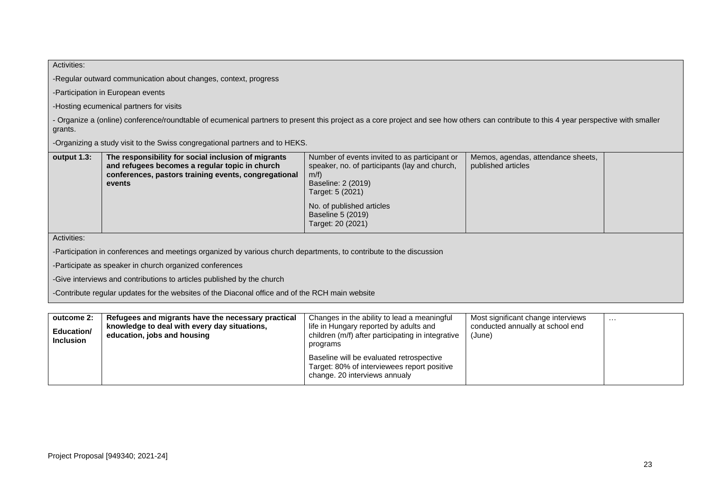| Activities:                                                                                     |                                                                                                                                                                                        |                                                                                                                                                        |                                                                                  |          |
|-------------------------------------------------------------------------------------------------|----------------------------------------------------------------------------------------------------------------------------------------------------------------------------------------|--------------------------------------------------------------------------------------------------------------------------------------------------------|----------------------------------------------------------------------------------|----------|
| -Regular outward communication about changes, context, progress                                 |                                                                                                                                                                                        |                                                                                                                                                        |                                                                                  |          |
|                                                                                                 | -Participation in European events                                                                                                                                                      |                                                                                                                                                        |                                                                                  |          |
|                                                                                                 | -Hosting ecumenical partners for visits                                                                                                                                                |                                                                                                                                                        |                                                                                  |          |
| grants.                                                                                         | - Organize a (online) conference/roundtable of ecumenical partners to present this project as a core project and see how others can contribute to this 4 year perspective with smaller |                                                                                                                                                        |                                                                                  |          |
|                                                                                                 | -Organizing a study visit to the Swiss congregational partners and to HEKS.                                                                                                            |                                                                                                                                                        |                                                                                  |          |
| output 1.3:                                                                                     | The responsibility for social inclusion of migrants<br>and refugees becomes a regular topic in church<br>conferences, pastors training events, congregational<br>events                | Number of events invited to as participant or<br>speaker, no. of participants (lay and church,<br>$m/f$ )<br>Baseline: 2 (2019)<br>Target: 5 (2021)    | Memos, agendas, attendance sheets,<br>published articles                         |          |
|                                                                                                 |                                                                                                                                                                                        | No. of published articles<br>Baseline 5 (2019)<br>Target: 20 (2021)                                                                                    |                                                                                  |          |
| Activities:                                                                                     |                                                                                                                                                                                        |                                                                                                                                                        |                                                                                  |          |
|                                                                                                 | -Participation in conferences and meetings organized by various church departments, to contribute to the discussion                                                                    |                                                                                                                                                        |                                                                                  |          |
| -Participate as speaker in church organized conferences                                         |                                                                                                                                                                                        |                                                                                                                                                        |                                                                                  |          |
| -Give interviews and contributions to articles published by the church                          |                                                                                                                                                                                        |                                                                                                                                                        |                                                                                  |          |
| -Contribute regular updates for the websites of the Diaconal office and of the RCH main website |                                                                                                                                                                                        |                                                                                                                                                        |                                                                                  |          |
|                                                                                                 |                                                                                                                                                                                        |                                                                                                                                                        |                                                                                  |          |
| outcome 2:<br>Education/<br><b>Inclusion</b>                                                    | Refugees and migrants have the necessary practical<br>knowledge to deal with every day situations,<br>education, jobs and housing                                                      | Changes in the ability to lead a meaningful<br>life in Hungary reported by adults and<br>children (m/f) after participating in integrative<br>programs | Most significant change interviews<br>conducted annually at school end<br>(June) | $\cdots$ |
|                                                                                                 |                                                                                                                                                                                        | Baseline will be evaluated retrospective<br>Target: 80% of interviewees report positive                                                                |                                                                                  |          |

change. 20 interviews annualy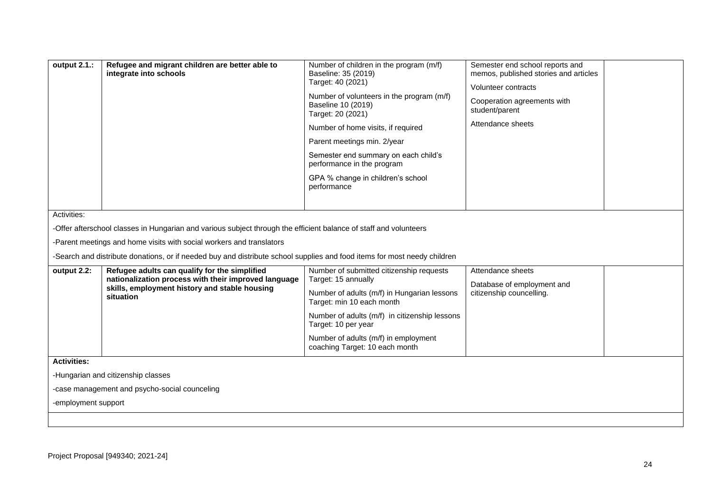| output 2.1.:                              | Refugee and migrant children are better able to<br>integrate into schools                                                                                                                                                                                                                                                            | Number of children in the program (m/f)<br>Baseline: 35 (2019)<br>Target: 40 (2021)<br>Number of volunteers in the program (m/f)<br>Baseline 10 (2019)<br>Target: 20 (2021)<br>Number of home visits, if required<br>Parent meetings min. 2/year<br>Semester end summary on each child's<br>performance in the program<br>GPA % change in children's school<br>performance | Semester end school reports and<br>memos, published stories and articles<br>Volunteer contracts<br>Cooperation agreements with<br>student/parent<br>Attendance sheets |  |  |  |
|-------------------------------------------|--------------------------------------------------------------------------------------------------------------------------------------------------------------------------------------------------------------------------------------------------------------------------------------------------------------------------------------|----------------------------------------------------------------------------------------------------------------------------------------------------------------------------------------------------------------------------------------------------------------------------------------------------------------------------------------------------------------------------|-----------------------------------------------------------------------------------------------------------------------------------------------------------------------|--|--|--|
|                                           | Activities:<br>-Offer afterschool classes in Hungarian and various subject through the efficient balance of staff and volunteers<br>-Parent meetings and home visits with social workers and translators<br>-Search and distribute donations, or if needed buy and distribute school supplies and food items for most needy children |                                                                                                                                                                                                                                                                                                                                                                            |                                                                                                                                                                       |  |  |  |
| output 2.2:                               | Refugee adults can qualify for the simplified<br>nationalization process with their improved language<br>skills, employment history and stable housing<br>situation                                                                                                                                                                  | Number of submitted citizenship requests<br>Target: 15 annually<br>Number of adults (m/f) in Hungarian lessons<br>Target: min 10 each month<br>Number of adults (m/f) in citizenship lessons<br>Target: 10 per year<br>Number of adults (m/f) in employment<br>coaching Target: 10 each month                                                                              | Attendance sheets<br>Database of employment and<br>citizenship councelling.                                                                                           |  |  |  |
| <b>Activities:</b><br>-employment support | -Hungarian and citizenship classes<br>-case management and psycho-social counceling                                                                                                                                                                                                                                                  |                                                                                                                                                                                                                                                                                                                                                                            |                                                                                                                                                                       |  |  |  |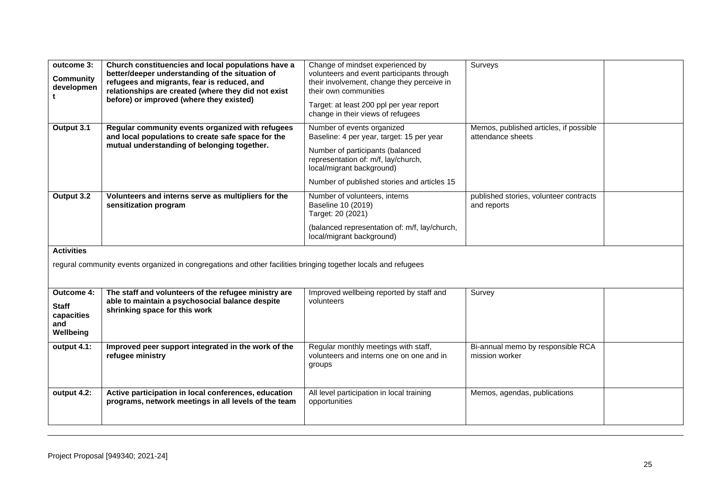| outcome 3:<br><b>Community</b><br>developmen<br>t                                                                                   | Church constituencies and local populations have a<br>better/deeper understanding of the situation of<br>refugees and migrants, fear is reduced, and<br>relationships are created (where they did not exist<br>before) or improved (where they existed) | Change of mindset experienced by<br>volunteers and event participants through<br>their involvement, change they perceive in<br>their own communities<br>Target: at least 200 ppl per year report<br>change in their views of refugees | Surveys                                                     |  |
|-------------------------------------------------------------------------------------------------------------------------------------|---------------------------------------------------------------------------------------------------------------------------------------------------------------------------------------------------------------------------------------------------------|---------------------------------------------------------------------------------------------------------------------------------------------------------------------------------------------------------------------------------------|-------------------------------------------------------------|--|
| Output 3.1                                                                                                                          | Regular community events organized with refugees<br>and local populations to create safe space for the<br>mutual understanding of belonging together.                                                                                                   | Number of events organized<br>Baseline: 4 per year, target: 15 per year<br>Number of participants (balanced<br>representation of: m/f, lay/church,<br>local/migrant background)<br>Number of published stories and articles 15        | Memos, published articles, if possible<br>attendance sheets |  |
| Output 3.2                                                                                                                          | Volunteers and interns serve as multipliers for the<br>sensitization program                                                                                                                                                                            | Number of volunteers, interns<br>Baseline 10 (2019)<br>Target: 20 (2021)<br>(balanced representation of: m/f, lay/church,<br>local/migrant background)                                                                                | published stories, volunteer contracts<br>and reports       |  |
| <b>Activities</b><br>regural community events organized in congregations and other facilities bringing together locals and refugees |                                                                                                                                                                                                                                                         |                                                                                                                                                                                                                                       |                                                             |  |
| Outcome 4:<br><b>Staff</b><br>capacities<br>and<br>Wellbeing                                                                        | The staff and volunteers of the refugee ministry are<br>able to maintain a psychosocial balance despite<br>shrinking space for this work                                                                                                                | Improved wellbeing reported by staff and<br>volunteers                                                                                                                                                                                | Survey                                                      |  |
| output 4.1:                                                                                                                         | Improved peer support integrated in the work of the<br>refugee ministry                                                                                                                                                                                 | Regular monthly meetings with staff,<br>volunteers and interns one on one and in<br>groups                                                                                                                                            | Bi-annual memo by responsible RCA<br>mission worker         |  |
| output 4.2:                                                                                                                         | Active participation in local conferences, education<br>programs, network meetings in all levels of the team                                                                                                                                            | All level participation in local training<br>opportunities                                                                                                                                                                            | Memos, agendas, publications                                |  |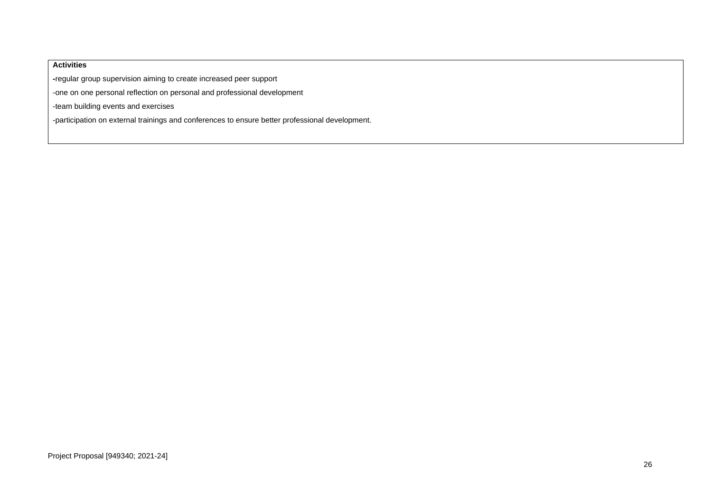### **Activities**

**-**regular group supervision aiming to create increased peer support

-one on one personal reflection on personal and professional development

-team building events and exercises

-participation on external trainings and conferences to ensure better professional development.